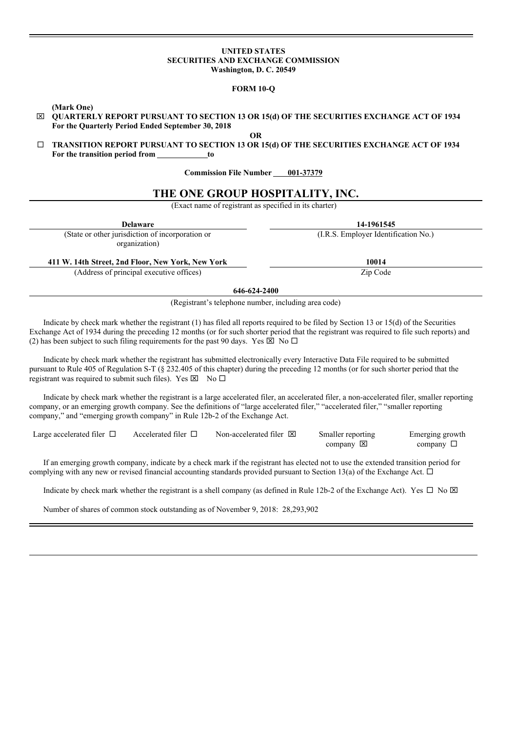## **UNITED STATES SECURITIES AND EXCHANGE COMMISSION Washington, D. C. 20549**

## **FORM 10-Q**

**(Mark One)**

x **QUARTERLY REPORT PURSUANT TO SECTION 13 OR 15(d) OF THE SECURITIES EXCHANGE ACT OF 1934 For the Quarterly Period Ended September 30, 2018**

**OR**

¨ **TRANSITION REPORT PURSUANT TO SECTION 13 OR 15(d) OF THE SECURITIES EXCHANGE ACT OF 1934 For the transition period from to**

**Commission File Number 001-37379** 

# **THE ONE GROUP HOSPITALITY, INC.**

(Exact name of registrant as specified in its charter)

| <b>Delaware</b>                                                   | 14-1961545                           |
|-------------------------------------------------------------------|--------------------------------------|
| (State or other jurisdiction of incorporation or<br>organization) | (I.R.S. Employer Identification No.) |
| 411 W. 14th Street, 2nd Floor, New York, New York                 | 10014                                |
| (Address of principal executive offices)                          | Zip Code                             |

**646-624-2400**

(Registrant's telephone number, including area code)

Indicate by check mark whether the registrant (1) has filed all reports required to be filed by Section 13 or 15(d) of the Securities Exchange Act of 1934 during the preceding 12 months (or for such shorter period that the registrant was required to file such reports) and (2) has been subject to such filing requirements for the past 90 days. Yes  $\boxtimes$  No  $\Box$ 

Indicate by check mark whether the registrant has submitted electronically every Interactive Data File required to be submitted pursuant to Rule 405 of Regulation S-T (§ 232.405 of this chapter) during the preceding 12 months (or for such shorter period that the registrant was required to submit such files). Yes  $\boxtimes$  No  $\square$ 

Indicate by check mark whether the registrant is a large accelerated filer, an accelerated filer, a non-accelerated filer, smaller reporting company, or an emerging growth company. See the definitions of "large accelerated filer," "accelerated filer," "smaller reporting company," and "emerging growth company" in Rule 12b-2 of the Exchange Act.

| Large accelerated filer $\Box$ | Accelerated filer $\Box$ | Non-accelerated filer $\boxtimes$ | Smaller reporting                | Emerging growth |
|--------------------------------|--------------------------|-----------------------------------|----------------------------------|-----------------|
|                                |                          |                                   | company $\vert \mathbf{x} \vert$ | company $\Box$  |

If an emerging growth company, indicate by a check mark if the registrant has elected not to use the extended transition period for complying with any new or revised financial accounting standards provided pursuant to Section 13(a) of the Exchange Act.  $\Box$ 

Indicate by check mark whether the registrant is a shell company (as defined in Rule 12b-2 of the Exchange Act). Yes  $\Box$  No  $\boxtimes$ 

Number of shares of common stock outstanding as of November 9, 2018: 28,293,902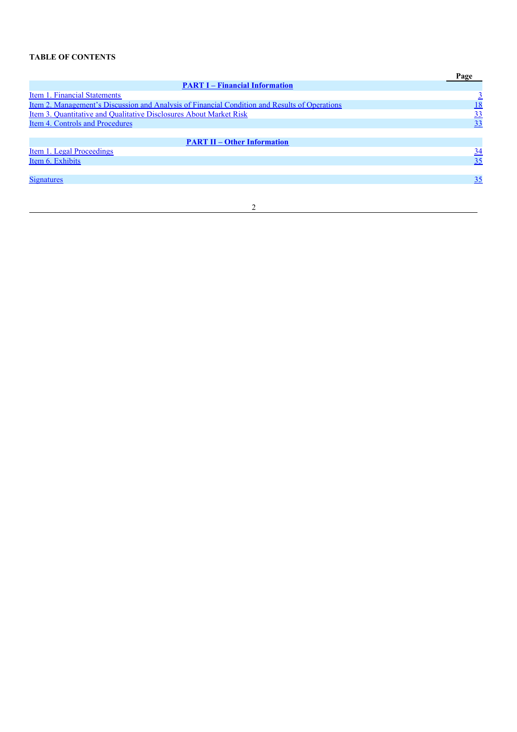# **TABLE OF CONTENTS**

|                                                                                               | Page       |
|-----------------------------------------------------------------------------------------------|------------|
| <b>PART I – Financial Information</b>                                                         |            |
| Item 1. Financial Statements                                                                  |            |
| Item 2. Management's Discussion and Analysis of Financial Condition and Results of Operations | <u> 18</u> |
| Item 3. Quantitative and Qualitative Disclosures About Market Risk                            | 33         |
| <b>Item 4. Controls and Procedures</b>                                                        | 33         |
|                                                                                               |            |
| <b>PART II – Other Information</b>                                                            |            |
| Item 1. Legal Proceedings                                                                     | <u>34</u>  |
| Item 6. Exhibits                                                                              | 35         |
|                                                                                               |            |
| <b>Signatures</b>                                                                             | 35         |
|                                                                                               |            |

2

<u> 1980 - Johann Barn, mars an t-Amerikaansk kommunister (</u>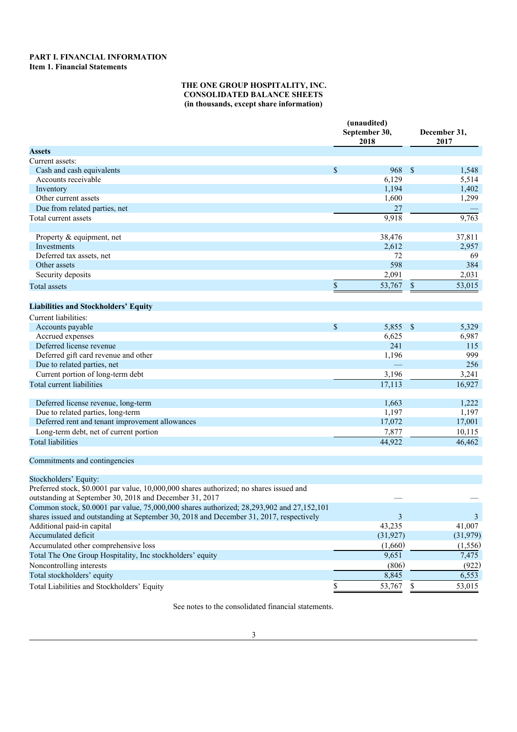## **PART I. FINANCIAL INFORMATION Item 1. Financial Statements**

## **THE ONE GROUP HOSPITALITY, INC. CONSOLIDATED BALANCE SHEETS (in thousands, except share information)**

|                                                                                                                                                    | (unaudited)<br>September 30,<br>2018 |               | December 31,<br>2017 |
|----------------------------------------------------------------------------------------------------------------------------------------------------|--------------------------------------|---------------|----------------------|
| Assets                                                                                                                                             |                                      |               |                      |
| Current assets:                                                                                                                                    |                                      |               |                      |
| Cash and cash equivalents                                                                                                                          | \$<br>968                            | $\mathbb{S}$  | 1,548                |
| Accounts receivable                                                                                                                                | 6,129                                |               | 5,514                |
| Inventory                                                                                                                                          | 1,194                                |               | 1,402                |
| Other current assets                                                                                                                               | 1,600                                |               | 1,299                |
| Due from related parties, net                                                                                                                      | 27                                   |               |                      |
| Total current assets                                                                                                                               | 9,918                                |               | 9,763                |
| Property & equipment, net                                                                                                                          | 38,476                               |               | 37,811               |
| Investments                                                                                                                                        | 2,612                                |               | 2,957                |
| Deferred tax assets, net                                                                                                                           | 72                                   |               | 69                   |
| Other assets                                                                                                                                       | 598                                  |               | 384                  |
| Security deposits                                                                                                                                  | 2,091                                |               | 2,031                |
| <b>Total</b> assets                                                                                                                                | \$<br>53,767                         | \$            | 53,015               |
|                                                                                                                                                    |                                      |               |                      |
| <b>Liabilities and Stockholders' Equity</b>                                                                                                        |                                      |               |                      |
| Current liabilities:                                                                                                                               |                                      |               |                      |
| Accounts payable                                                                                                                                   | \$<br>5,855                          | $\mathcal{S}$ | 5,329                |
| Accrued expenses                                                                                                                                   | 6,625                                |               | 6,987                |
| Deferred license revenue                                                                                                                           | 241                                  |               | 115                  |
| Deferred gift card revenue and other                                                                                                               | 1,196                                |               | 999                  |
| Due to related parties, net                                                                                                                        |                                      |               | 256                  |
| Current portion of long-term debt                                                                                                                  | 3,196                                |               | 3,241                |
| Total current liabilities                                                                                                                          | 17,113                               |               | 16,927               |
| Deferred license revenue, long-term                                                                                                                | 1,663                                |               | 1,222                |
| Due to related parties, long-term                                                                                                                  | 1,197                                |               | 1,197                |
| Deferred rent and tenant improvement allowances                                                                                                    | 17,072                               |               | 17,001               |
| Long-term debt, net of current portion                                                                                                             | 7,877                                |               | 10,115               |
| <b>Total liabilities</b>                                                                                                                           | 44,922                               |               | 46,462               |
| Commitments and contingencies                                                                                                                      |                                      |               |                      |
| Stockholders' Equity:                                                                                                                              |                                      |               |                      |
| Preferred stock, \$0.0001 par value, 10,000,000 shares authorized; no shares issued and<br>outstanding at September 30, 2018 and December 31, 2017 |                                      |               |                      |
| Common stock, \$0.0001 par value, 75,000,000 shares authorized; 28,293,902 and 27,152,101                                                          |                                      |               |                      |
| shares issued and outstanding at September 30, 2018 and December 31, 2017, respectively                                                            | 3                                    |               | 3                    |
| Additional paid-in capital                                                                                                                         | 43,235                               |               | 41,007               |
| Accumulated deficit                                                                                                                                | (31, 927)                            |               | (31,979)             |
| Accumulated other comprehensive loss                                                                                                               | (1,660)                              |               | (1, 556)             |
| Total The One Group Hospitality, Inc stockholders' equity                                                                                          | 9,651                                |               | 7,475                |
| Noncontrolling interests                                                                                                                           | (806)                                |               | (922)                |
| Total stockholders' equity                                                                                                                         | 8,845                                |               | 6,553                |
| Total Liabilities and Stockholders' Equity                                                                                                         | 53,767                               | \$            | 53,015               |
|                                                                                                                                                    |                                      |               |                      |

See notes to the consolidated financial statements.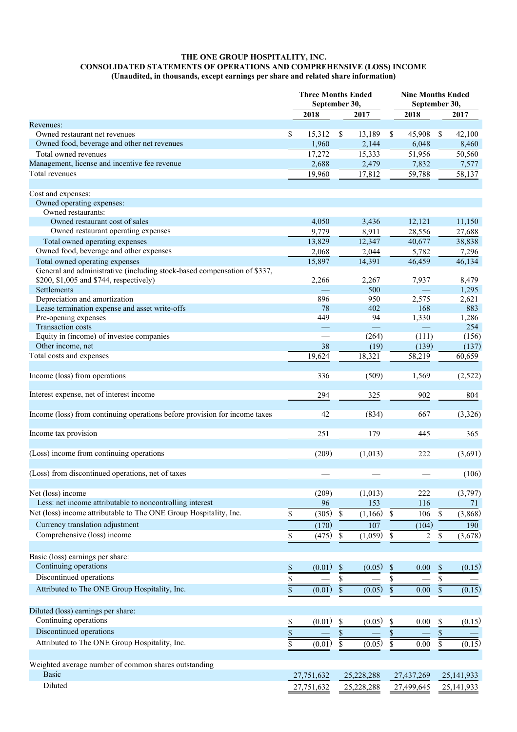#### **THE ONE GROUP HOSPITALITY, INC. CONSOLIDATED STATEMENTS OF OPERATIONS AND COMPREHENSIVE (LOSS) INCOME**

# **(Unaudited, in thousands, except earnings per share and related share information)**

|                                                                            |             | <b>Three Months Ended</b><br>September 30, |                 |                                | <b>Nine Months Ended</b><br>September 30, |            |                         |              |
|----------------------------------------------------------------------------|-------------|--------------------------------------------|-----------------|--------------------------------|-------------------------------------------|------------|-------------------------|--------------|
|                                                                            |             | 2018                                       |                 | 2017                           |                                           | 2018       |                         | 2017         |
| Revenues:                                                                  |             |                                            |                 |                                |                                           |            |                         |              |
| Owned restaurant net revenues                                              | \$          | 15,312                                     | $\mathbb{S}$    | 13,189                         | \$                                        | 45,908     | -\$                     | 42,100       |
| Owned food, beverage and other net revenues                                |             | 1,960                                      |                 | 2,144                          |                                           | 6,048      |                         | 8,460        |
| Total owned revenues                                                       |             | 17,272                                     |                 | 15,333                         |                                           | 51,956     |                         | 50,560       |
| Management, license and incentive fee revenue                              |             | 2,688                                      |                 | 2,479                          |                                           | 7,832      |                         | 7,577        |
| Total revenues                                                             |             | 19,960                                     |                 | 17,812                         |                                           | 59,788     |                         | 58,137       |
| Cost and expenses:                                                         |             |                                            |                 |                                |                                           |            |                         |              |
| Owned operating expenses:                                                  |             |                                            |                 |                                |                                           |            |                         |              |
| Owned restaurants:                                                         |             |                                            |                 |                                |                                           |            |                         |              |
| Owned restaurant cost of sales                                             |             | 4,050                                      |                 | 3,436                          |                                           | 12,121     |                         | 11,150       |
| Owned restaurant operating expenses                                        |             | 9,779                                      |                 | 8,911                          |                                           | 28,556     |                         | 27,688       |
| Total owned operating expenses                                             |             | 13,829                                     |                 | 12,347                         |                                           | 40,677     |                         | 38,838       |
| Owned food, beverage and other expenses                                    |             | 2,068                                      |                 | 2,044                          |                                           | 5,782      |                         | 7,296        |
| Total owned operating expenses                                             |             | 15,897                                     |                 | 14,391                         |                                           | 46,459     |                         | 46,134       |
| General and administrative (including stock-based compensation of \$337,   |             |                                            |                 |                                |                                           |            |                         |              |
| \$200, \$1,005 and \$744, respectively)                                    |             | 2,266                                      |                 | 2,267                          |                                           | 7,937      |                         | 8,479        |
| Settlements                                                                |             |                                            |                 | 500                            |                                           |            |                         | 1,295        |
| Depreciation and amortization                                              |             | 896                                        |                 | 950                            |                                           | 2,575      |                         | 2,621        |
| Lease termination expense and asset write-offs                             |             | 78                                         |                 | 402                            |                                           | 168        |                         | 883          |
| Pre-opening expenses                                                       |             | 449                                        |                 | 94<br>$\overline{\phantom{0}}$ |                                           | 1,330      |                         | 1,286<br>254 |
| Transaction costs<br>Equity in (income) of investee companies              |             | $\overline{\phantom{0}}$                   |                 | (264)                          |                                           | (111)      |                         | (156)        |
| Other income, net                                                          |             | 38                                         |                 | (19)                           |                                           | (139)      |                         | (137)        |
| Total costs and expenses                                                   |             | 19,624                                     |                 | 18,321                         |                                           | 58,219     |                         | 60,659       |
|                                                                            |             |                                            |                 |                                |                                           |            |                         |              |
| Income (loss) from operations                                              |             | 336                                        |                 | (509)                          |                                           | 1,569      |                         | (2,522)      |
| Interest expense, net of interest income                                   |             | 294                                        |                 | 325                            |                                           | 902        |                         | 804          |
|                                                                            |             |                                            |                 |                                |                                           |            |                         |              |
| Income (loss) from continuing operations before provision for income taxes |             | 42                                         |                 | (834)                          |                                           | 667        |                         | (3,326)      |
| Income tax provision                                                       |             | 251                                        |                 | 179                            |                                           | 445        |                         | 365          |
|                                                                            |             |                                            |                 |                                |                                           |            |                         |              |
| (Loss) income from continuing operations                                   |             | (209)                                      |                 | (1,013)                        |                                           | 222        |                         | (3,691)      |
|                                                                            |             |                                            |                 |                                |                                           |            |                         |              |
| (Loss) from discontinued operations, net of taxes                          |             |                                            |                 |                                |                                           |            |                         | (106)        |
|                                                                            |             |                                            |                 |                                |                                           |            |                         |              |
| Net (loss) income                                                          |             | (209)                                      |                 | (1,013)                        |                                           | 222        |                         | (3,797)      |
| Less: net income attributable to noncontrolling interest                   |             | 96                                         |                 | 153                            |                                           | 116        |                         | 71           |
| Net (loss) income attributable to The ONE Group Hospitality, Inc.          | \$          | (305)                                      | $\mathbb S$     | (1,166)                        | \$                                        | 106        | \$                      | (3,868)      |
| Currency translation adjustment                                            |             | (170)                                      |                 | 107                            |                                           | (104)      |                         | 190          |
| Comprehensive (loss) income                                                | \$          | (475)                                      | $\mathbb{S}$    | (1,059)                        | \$                                        | 2          | $\frac{1}{2}$           | (3,678)      |
|                                                                            |             |                                            |                 |                                |                                           |            |                         |              |
| Basic (loss) earnings per share:<br>Continuing operations                  |             |                                            |                 |                                |                                           |            |                         |              |
|                                                                            | $\mathbb S$ | (0.01)                                     | $\mathbb{S}$    | (0.05)                         | $\$$                                      | 0.00       | \$                      | (0.15)       |
| Discontinued operations                                                    | \$          |                                            | \$              |                                | \$                                        |            | $\overline{\$}$         |              |
| Attributed to The ONE Group Hospitality, Inc.                              | \$          | (0.01)                                     | $\mathbb{S}$    | (0.05)                         | $\mathbb S$                               | $0.00\,$   | $\mathbb S$             | (0.15)       |
| Diluted (loss) earnings per share:                                         |             |                                            |                 |                                |                                           |            |                         |              |
| Continuing operations                                                      | \$          | (0.01)                                     | $\mathbb{S}$    | (0.05)                         | \$                                        | $0.00\,$   | \$                      | (0.15)       |
| Discontinued operations                                                    |             |                                            |                 |                                |                                           |            |                         |              |
|                                                                            | \$          |                                            | \$              |                                | $\mathbb S$                               |            | \$                      |              |
| Attributed to The ONE Group Hospitality, Inc.                              | \$          | (0.01)                                     | $\overline{\$}$ | (0.05)                         | $\overline{\overline{s}}$                 | $0.00\,$   | $\overline{\mathbb{S}}$ | (0.15)       |
| Weighted average number of common shares outstanding                       |             |                                            |                 |                                |                                           |            |                         |              |
| <b>Basic</b>                                                               |             | 27,751,632                                 |                 | 25,228,288                     |                                           | 27,437,269 |                         | 25, 141, 933 |
| Diluted                                                                    |             | 27,751,632                                 |                 | 25,228,288                     |                                           | 27,499,645 |                         | 25, 141, 933 |
|                                                                            |             |                                            |                 |                                |                                           |            |                         |              |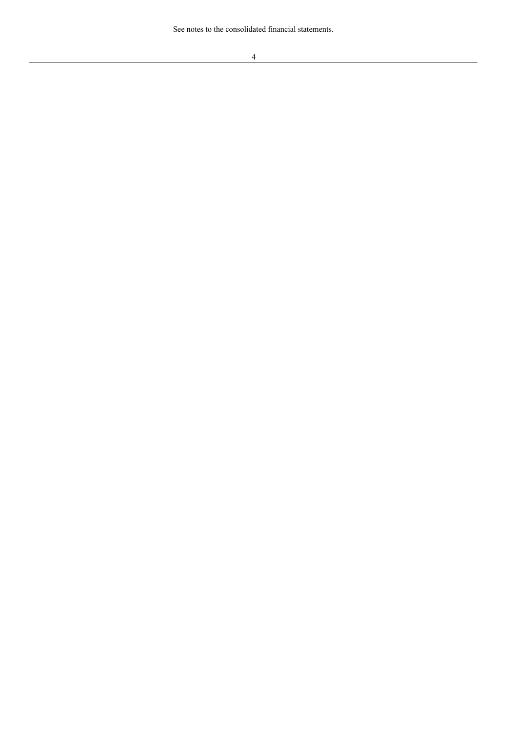See notes to the consolidated financial statements.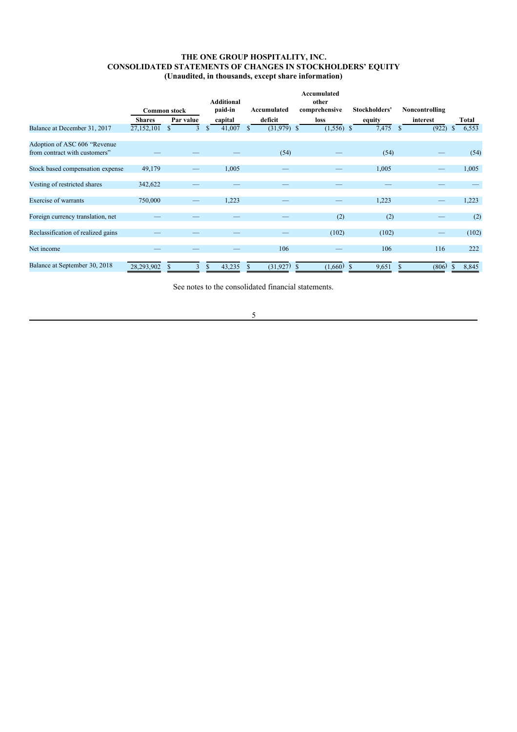## **THE ONE GROUP HOSPITALITY, INC. CONSOLIDATED STATEMENTS OF CHANGES IN STOCKHOLDERS' EQUITY (Unaudited, in thousands, except share information)**

|                            |   | <b>Additional</b><br>paid-in | Accumulated  | Accumulated<br>other<br>comprehensive | Stockholders'              | Noncontrolling          |             |  |       |
|----------------------------|---|------------------------------|--------------|---------------------------------------|----------------------------|-------------------------|-------------|--|-------|
| Par value<br><b>Shares</b> |   | capital                      | deficit      | loss                                  | equity                     |                         |             |  | Total |
| 27,152,101                 | S | 41,007<br>\$                 | \$           |                                       | 7,475                      | (922)<br><sup>\$</sup>  | 6,553<br>\$ |  |       |
|                            |   |                              |              |                                       |                            |                         |             |  |       |
|                            |   |                              | (54)         |                                       | (54)                       |                         | (54)        |  |       |
| 49,179                     |   | 1,005                        |              |                                       | 1,005                      |                         | 1,005       |  |       |
| 342,622                    |   |                              |              |                                       |                            |                         |             |  |       |
| 750,000                    |   | 1,223                        |              |                                       | 1,223                      |                         | 1,223       |  |       |
|                            |   |                              |              | (2)                                   | (2)                        |                         | (2)         |  |       |
|                            |   |                              |              | (102)                                 | (102)                      |                         | (102)       |  |       |
|                            |   |                              | 106          |                                       | 106                        | 116                     | 222         |  |       |
| 28,293,902                 | 3 | 43,235<br>\$                 | <sup>S</sup> | -S                                    | 9,651                      | (806)                   | 8,845       |  |       |
|                            |   | <b>Common stock</b>          |              |                                       | $(31,979)$ \$<br>(31, 927) | $(1,556)$ \$<br>(1,660) | interest    |  |       |

See notes to the consolidated financial statements.

5

<u> 1980 - Johann Barn, mars an t-Amerikaansk kommunister (</u>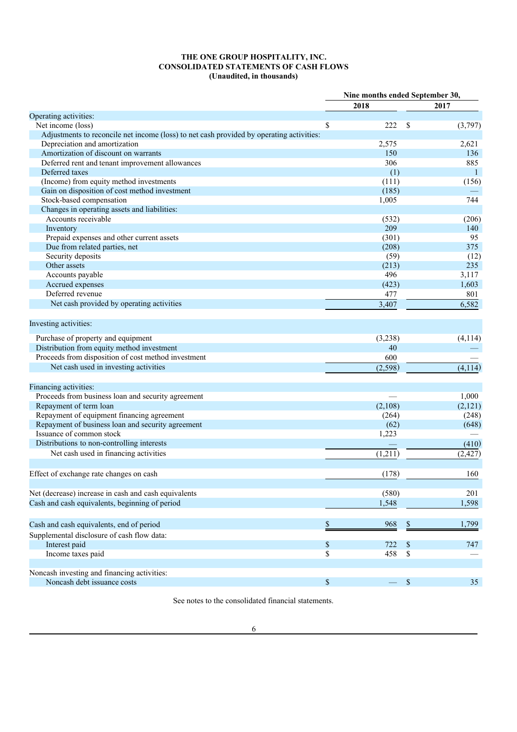## **THE ONE GROUP HOSPITALITY, INC. CONSOLIDATED STATEMENTS OF CASH FLOWS (Unaudited, in thousands)**

|                                                                                          |          | Nine months ended September 30, |          |          |  |
|------------------------------------------------------------------------------------------|----------|---------------------------------|----------|----------|--|
|                                                                                          |          | 2018                            |          | 2017     |  |
| Operating activities:                                                                    |          |                                 |          |          |  |
| Net income (loss)                                                                        | \$       | 222                             | \$       | (3,797)  |  |
| Adjustments to reconcile net income (loss) to net cash provided by operating activities: |          |                                 |          |          |  |
| Depreciation and amortization                                                            |          | 2,575                           |          | 2,621    |  |
| Amortization of discount on warrants                                                     |          | 150                             |          | 136      |  |
| Deferred rent and tenant improvement allowances                                          |          | 306                             |          | 885      |  |
| Deferred taxes                                                                           |          | (1)                             |          | 1        |  |
| (Income) from equity method investments                                                  |          | (111)                           |          | (156)    |  |
| Gain on disposition of cost method investment                                            |          | (185)                           |          |          |  |
| Stock-based compensation                                                                 |          | 1,005                           |          | 744      |  |
| Changes in operating assets and liabilities:                                             |          |                                 |          |          |  |
| Accounts receivable                                                                      |          | (532)                           |          | (206)    |  |
| Inventory                                                                                |          | 209                             |          | 140      |  |
| Prepaid expenses and other current assets                                                |          | (301)                           |          | 95       |  |
| Due from related parties, net                                                            |          | (208)                           |          | 375      |  |
| Security deposits                                                                        |          | (59)                            |          | (12)     |  |
| Other assets                                                                             |          | (213)                           |          | 235      |  |
| Accounts payable                                                                         |          | 496                             |          | 3,117    |  |
| Accrued expenses                                                                         |          | (423)                           |          | 1,603    |  |
| Deferred revenue                                                                         |          | 477                             |          | 801      |  |
| Net cash provided by operating activities                                                |          | 3,407                           |          | 6,582    |  |
|                                                                                          |          |                                 |          |          |  |
| Investing activities:                                                                    |          |                                 |          |          |  |
|                                                                                          |          |                                 |          |          |  |
| Purchase of property and equipment                                                       |          | (3,238)                         |          | (4, 114) |  |
| Distribution from equity method investment                                               |          | 40                              |          |          |  |
| Proceeds from disposition of cost method investment                                      |          | 600                             |          |          |  |
| Net cash used in investing activities                                                    |          | (2, 598)                        |          | (4, 114) |  |
|                                                                                          |          |                                 |          |          |  |
| Financing activities:                                                                    |          |                                 |          |          |  |
| Proceeds from business loan and security agreement                                       |          |                                 |          | 1,000    |  |
| Repayment of term loan                                                                   |          | (2,108)                         |          | (2,121)  |  |
| Repayment of equipment financing agreement                                               |          | (264)                           |          | (248)    |  |
| Repayment of business loan and security agreement                                        |          | (62)                            |          | (648)    |  |
| Issuance of common stock                                                                 |          | 1,223                           |          |          |  |
| Distributions to non-controlling interests                                               |          |                                 |          | (410)    |  |
| Net cash used in financing activities                                                    |          | (1,211)                         |          | (2, 427) |  |
|                                                                                          |          |                                 |          |          |  |
| Effect of exchange rate changes on cash                                                  |          | (178)                           |          | 160      |  |
|                                                                                          |          |                                 |          |          |  |
| Net (decrease) increase in cash and cash equivalents                                     |          | (580)                           |          | 201      |  |
| Cash and cash equivalents, beginning of period                                           |          | 1,548                           |          |          |  |
|                                                                                          |          |                                 |          | 1,598    |  |
| Cash and cash equivalents, end of period                                                 | \$       | 968                             | \$       | 1,799    |  |
| Supplemental disclosure of cash flow data:                                               |          |                                 |          |          |  |
|                                                                                          |          |                                 |          |          |  |
| Interest paid                                                                            | \$<br>\$ | 722<br>458                      | \$<br>\$ | 747      |  |
| Income taxes paid                                                                        |          |                                 |          |          |  |
| Noncash investing and financing activities:                                              |          |                                 |          |          |  |
| Noncash debt issuance costs                                                              | \$       | $\overbrace{\phantom{13333}}$   | \$       | 35       |  |
|                                                                                          |          |                                 |          |          |  |

See notes to the consolidated financial statements.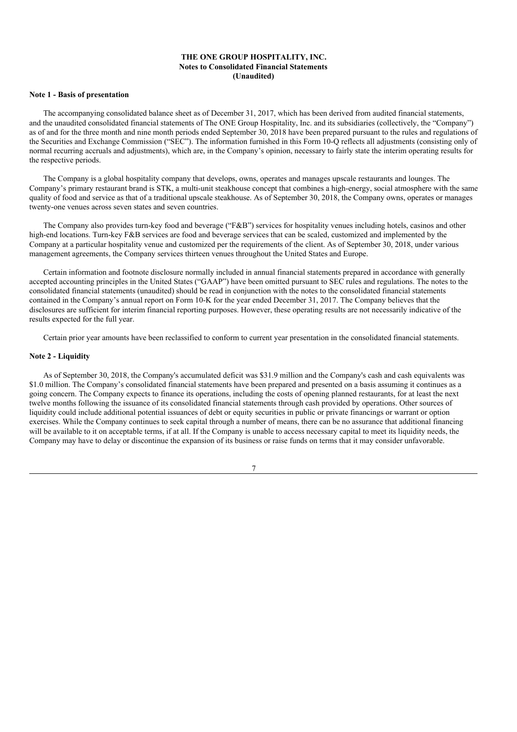## **THE ONE GROUP HOSPITALITY, INC. Notes to Consolidated Financial Statements (Unaudited)**

#### **Note 1 - Basis of presentation**

The accompanying consolidated balance sheet as of December 31, 2017, which has been derived from audited financial statements, and the unaudited consolidated financial statements of The ONE Group Hospitality, Inc. and its subsidiaries (collectively, the "Company") as of and for the three month and nine month periods ended September 30, 2018 have been prepared pursuant to the rules and regulations of the Securities and Exchange Commission ("SEC"). The information furnished in this Form 10-Q reflects all adjustments (consisting only of normal recurring accruals and adjustments), which are, in the Company's opinion, necessary to fairly state the interim operating results for the respective periods.

The Company is a global hospitality company that develops, owns, operates and manages upscale restaurants and lounges. The Company's primary restaurant brand is STK, a multi-unit steakhouse concept that combines a high-energy, social atmosphere with the same quality of food and service as that of a traditional upscale steakhouse. As of September 30, 2018, the Company owns, operates or manages twenty-one venues across seven states and seven countries.

The Company also provides turn-key food and beverage ("F&B") services for hospitality venues including hotels, casinos and other high-end locations. Turn-key F&B services are food and beverage services that can be scaled, customized and implemented by the Company at a particular hospitality venue and customized per the requirements of the client. As of September 30, 2018, under various management agreements, the Company services thirteen venues throughout the United States and Europe.

Certain information and footnote disclosure normally included in annual financial statements prepared in accordance with generally accepted accounting principles in the United States ("GAAP") have been omitted pursuant to SEC rules and regulations. The notes to the consolidated financial statements (unaudited) should be read in conjunction with the notes to the consolidated financial statements contained in the Company's annual report on Form 10-K for the year ended December 31, 2017. The Company believes that the disclosures are sufficient for interim financial reporting purposes. However, these operating results are not necessarily indicative of the results expected for the full year.

Certain prior year amounts have been reclassified to conform to current year presentation in the consolidated financial statements.

## **Note 2 - Liquidity**

As of September 30, 2018, the Company's accumulated deficit was \$31.9 million and the Company's cash and cash equivalents was \$1.0 million. The Company's consolidated financial statements have been prepared and presented on a basis assuming it continues as a going concern. The Company expects to finance its operations, including the costs of opening planned restaurants, for at least the next twelve months following the issuance of its consolidated financial statements through cash provided by operations. Other sources of liquidity could include additional potential issuances of debt or equity securities in public or private financings or warrant or option exercises. While the Company continues to seek capital through a number of means, there can be no assurance that additional financing will be available to it on acceptable terms, if at all. If the Company is unable to access necessary capital to meet its liquidity needs, the Company may have to delay or discontinue the expansion of its business or raise funds on terms that it may consider unfavorable.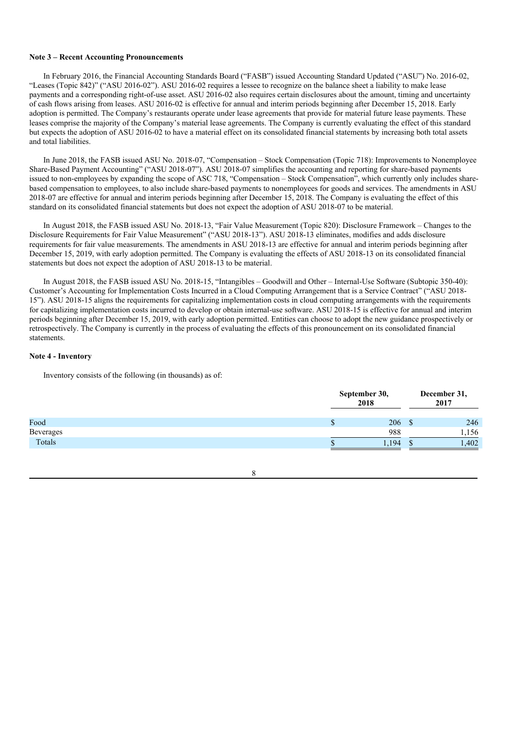#### **Note 3 – Recent Accounting Pronouncements**

In February 2016, the Financial Accounting Standards Board ("FASB") issued Accounting Standard Updated ("ASU") No. 2016-02, "Leases (Topic 842)" ("ASU 2016-02"). ASU 2016-02 requires a lessee to recognize on the balance sheet a liability to make lease payments and a corresponding right-of-use asset. ASU 2016-02 also requires certain disclosures about the amount, timing and uncertainty of cash flows arising from leases. ASU 2016-02 is effective for annual and interim periods beginning after December 15, 2018. Early adoption is permitted. The Company's restaurants operate under lease agreements that provide for material future lease payments. These leases comprise the majority of the Company's material lease agreements. The Company is currently evaluating the effect of this standard but expects the adoption of ASU 2016-02 to have a material effect on its consolidated financial statements by increasing both total assets and total liabilities.

In June 2018, the FASB issued ASU No. 2018-07, "Compensation – Stock Compensation (Topic 718): Improvements to Nonemployee Share-Based Payment Accounting" ("ASU 2018-07"). ASU 2018-07 simplifies the accounting and reporting for share-based payments issued to non-employees by expanding the scope of ASC 718, "Compensation – Stock Compensation", which currently only includes sharebased compensation to employees, to also include share-based payments to nonemployees for goods and services. The amendments in ASU 2018-07 are effective for annual and interim periods beginning after December 15, 2018. The Company is evaluating the effect of this standard on its consolidated financial statements but does not expect the adoption of ASU 2018-07 to be material.

In August 2018, the FASB issued ASU No. 2018-13, "Fair Value Measurement (Topic 820): Disclosure Framework – Changes to the Disclosure Requirements for Fair Value Measurement" ("ASU 2018-13"). ASU 2018-13 eliminates, modifies and adds disclosure requirements for fair value measurements. The amendments in ASU 2018-13 are effective for annual and interim periods beginning after December 15, 2019, with early adoption permitted. The Company is evaluating the effects of ASU 2018-13 on its consolidated financial statements but does not expect the adoption of ASU 2018-13 to be material.

In August 2018, the FASB issued ASU No. 2018-15, "Intangibles – Goodwill and Other – Internal-Use Software (Subtopic 350-40): Customer's Accounting for Implementation Costs Incurred in a Cloud Computing Arrangement that is a Service Contract" ("ASU 2018- 15"). ASU 2018-15 aligns the requirements for capitalizing implementation costs in cloud computing arrangements with the requirements for capitalizing implementation costs incurred to develop or obtain internal-use software. ASU 2018-15 is effective for annual and interim periods beginning after December 15, 2019, with early adoption permitted. Entities can choose to adopt the new guidance prospectively or retrospectively. The Company is currently in the process of evaluating the effects of this pronouncement on its consolidated financial statements.

## **Note 4 - Inventory**

Inventory consists of the following (in thousands) as of:

|           |    | September 30,<br>2018 |   | December 31,<br>2017 |
|-----------|----|-----------------------|---|----------------------|
| Food      | ۰Д | 206                   | S | 246                  |
| Beverages |    | 988                   |   | 1,156                |
| Totals    |    | 1.194                 |   | 1,402                |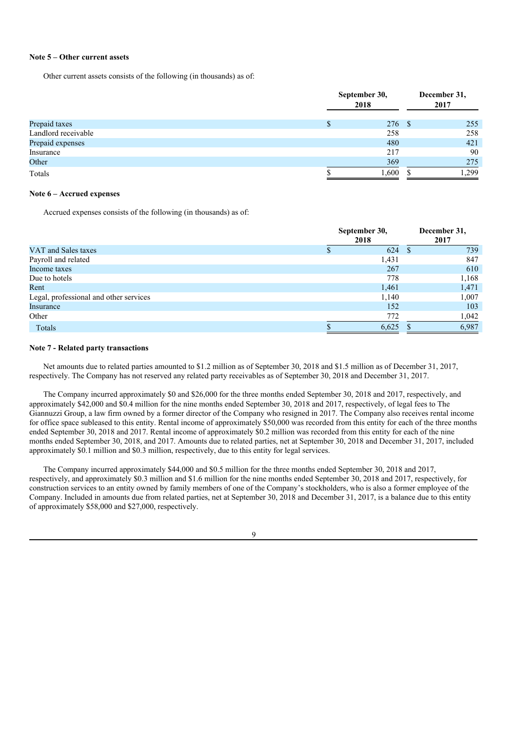#### **Note 5 – Other current assets**

Other current assets consists of the following (in thousands) as of:

|                     | September 30,<br>2018 |        |  | December 31,<br>2017 |
|---------------------|-----------------------|--------|--|----------------------|
| Prepaid taxes       |                       | 276 \$ |  | 255                  |
| Landlord receivable |                       | 258    |  | 258                  |
| Prepaid expenses    |                       | 480    |  | 421                  |
| Insurance           |                       | 217    |  | 90                   |
| Other               |                       | 369    |  | 275                  |
| Totals              |                       | 1,600  |  | 1.299                |

### **Note 6 – Accrued expenses**

Accrued expenses consists of the following (in thousands) as of:

|                                        | September 30,<br>2018 |    | December 31,<br>2017 |
|----------------------------------------|-----------------------|----|----------------------|
| VAT and Sales taxes                    | 624                   | -S | 739                  |
| Payroll and related                    | 1,431                 |    | 847                  |
| Income taxes                           | 267                   |    | 610                  |
| Due to hotels                          | 778                   |    | 1,168                |
| Rent                                   | 1,461                 |    | 1,471                |
| Legal, professional and other services | 1,140                 |    | 1,007                |
| Insurance                              | 152                   |    | 103                  |
| Other                                  | 772                   |    | 1,042                |
| Totals                                 | 6,625                 |    | 6,987                |

## **Note 7 - Related party transactions**

Net amounts due to related parties amounted to \$1.2 million as of September 30, 2018 and \$1.5 million as of December 31, 2017, respectively. The Company has not reserved any related party receivables as of September 30, 2018 and December 31, 2017.

The Company incurred approximately \$0 and \$26,000 for the three months ended September 30, 2018 and 2017, respectively, and approximately \$42,000 and \$0.4 million for the nine months ended September 30, 2018 and 2017, respectively, of legal fees to The Giannuzzi Group, a law firm owned by a former director of the Company who resigned in 2017. The Company also receives rental income for office space subleased to this entity. Rental income of approximately \$50,000 was recorded from this entity for each of the three months ended September 30, 2018 and 2017. Rental income of approximately \$0.2 million was recorded from this entity for each of the nine months ended September 30, 2018, and 2017. Amounts due to related parties, net at September 30, 2018 and December 31, 2017, included approximately \$0.1 million and \$0.3 million, respectively, due to this entity for legal services.

The Company incurred approximately \$44,000 and \$0.5 million for the three months ended September 30, 2018 and 2017, respectively, and approximately \$0.3 million and \$1.6 million for the nine months ended September 30, 2018 and 2017, respectively, for construction services to an entity owned by family members of one of the Company's stockholders, who is also a former employee of the Company. Included in amounts due from related parties, net at September 30, 2018 and December 31, 2017, is a balance due to this entity of approximately \$58,000 and \$27,000, respectively.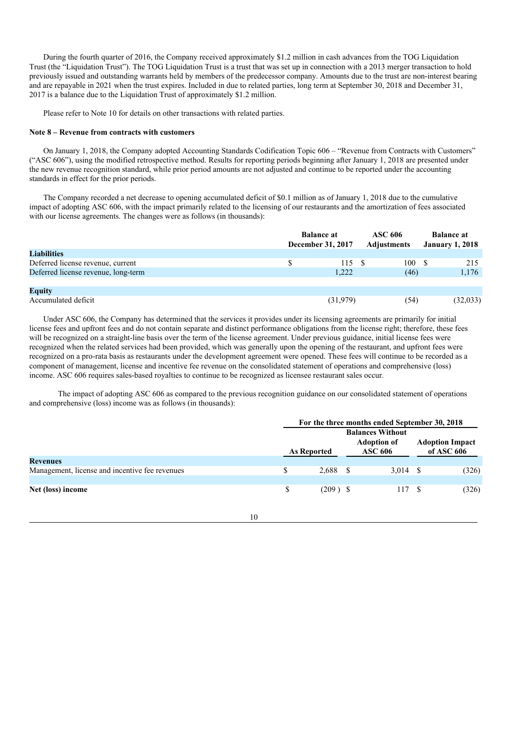During the fourth quarter of 2016, the Company received approximately \$1.2 million in cash advances from the TOG Liquidation Trust (the "Liquidation Trust"). The TOG Liquidation Trust is a trust that was set up in connection with a 2013 merger transaction to hold previously issued and outstanding warrants held by members of the predecessor company. Amounts due to the trust are non-interest bearing and are repayable in 2021 when the trust expires. Included in due to related parties, long term at September 30, 2018 and December 31, 2017 is a balance due to the Liquidation Trust of approximately \$1.2 million.

Please refer to Note 10 for details on other transactions with related parties.

#### **Note 8 – Revenue from contracts with customers**

On January 1, 2018, the Company adopted Accounting Standards Codification Topic 606 – "Revenue from Contracts with Customers" ("ASC 606"), using the modified retrospective method. Results for reporting periods beginning after January 1, 2018 are presented under the new revenue recognition standard, while prior period amounts are not adjusted and continue to be reported under the accounting standards in effect for the prior periods.

The Company recorded a net decrease to opening accumulated deficit of \$0.1 million as of January 1, 2018 due to the cumulative impact of adopting ASC 606, with the impact primarily related to the licensing of our restaurants and the amortization of fees associated with our license agreements. The changes were as follows (in thousands):

|                                     | <b>Balance at</b><br>December 31, 2017 |  | ASC 606<br>Adjustments |  |          |  | <b>Balance at</b><br><b>January 1, 2018</b> |
|-------------------------------------|----------------------------------------|--|------------------------|--|----------|--|---------------------------------------------|
| <b>Liabilities</b>                  |                                        |  |                        |  |          |  |                                             |
| Deferred license revenue, current   | 115S                                   |  | 100                    |  | 215      |  |                                             |
| Deferred license revenue, long-term | 1,222                                  |  | (46)                   |  | 1,176    |  |                                             |
|                                     |                                        |  |                        |  |          |  |                                             |
| <b>Equity</b>                       |                                        |  |                        |  |          |  |                                             |
| Accumulated deficit                 | (31,979)                               |  | (54)                   |  | (32,033) |  |                                             |

Under ASC 606, the Company has determined that the services it provides under its licensing agreements are primarily for initial license fees and upfront fees and do not contain separate and distinct performance obligations from the license right; therefore, these fees will be recognized on a straight-line basis over the term of the license agreement. Under previous guidance, initial license fees were recognized when the related services had been provided, which was generally upon the opening of the restaurant, and upfront fees were recognized on a pro-rata basis as restaurants under the development agreement were opened. These fees will continue to be recorded as a component of management, license and incentive fee revenue on the consolidated statement of operations and comprehensive (loss) income. ASC 606 requires sales-based royalties to continue to be recognized as licensee restaurant sales occur.

The impact of adopting ASC 606 as compared to the previous recognition guidance on our consolidated statement of operations and comprehensive (loss) income was as follows (in thousands):

|                                                |    | For the three months ended September 30, 2018 |            |                                      |                         |      |                                      |  |  |
|------------------------------------------------|----|-----------------------------------------------|------------|--------------------------------------|-------------------------|------|--------------------------------------|--|--|
|                                                |    |                                               |            |                                      | <b>Balances Without</b> |      |                                      |  |  |
|                                                |    | <b>As Reported</b>                            |            | <b>Adoption of</b><br><b>ASC 606</b> |                         |      | <b>Adoption Impact</b><br>of ASC 606 |  |  |
| <b>Revenues</b>                                |    |                                               |            |                                      |                         |      |                                      |  |  |
| Management, license and incentive fee revenues |    | \$                                            | $2,688$ \$ |                                      | 3,014                   | - \$ | (326)                                |  |  |
|                                                |    |                                               |            |                                      |                         |      |                                      |  |  |
| Net (loss) income                              |    | \$                                            | $(209)$ \$ |                                      | 117                     | - \$ | (326)                                |  |  |
|                                                |    |                                               |            |                                      |                         |      |                                      |  |  |
|                                                |    |                                               |            |                                      |                         |      |                                      |  |  |
|                                                | 10 |                                               |            |                                      |                         |      |                                      |  |  |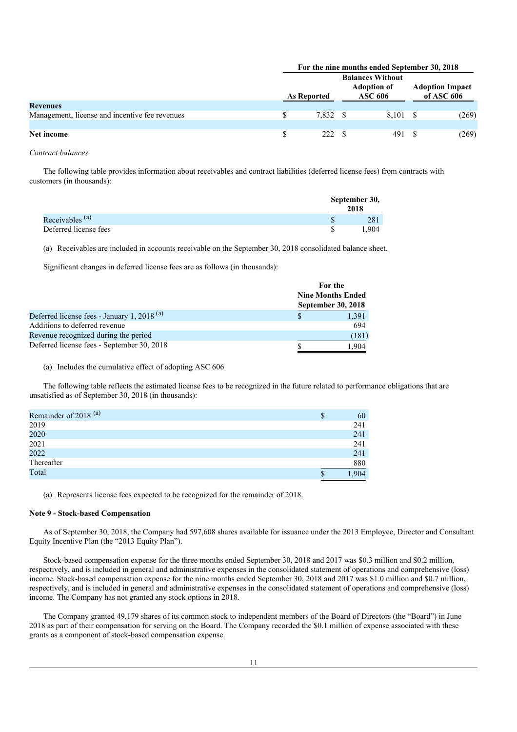|                                                |  | For the nine months ended September 30, 2018 |                                                                 |       |  |                                      |  |  |  |
|------------------------------------------------|--|----------------------------------------------|-----------------------------------------------------------------|-------|--|--------------------------------------|--|--|--|
|                                                |  | As Reported                                  | <b>Balances Without</b><br><b>Adoption of</b><br><b>ASC 606</b> |       |  | <b>Adoption Impact</b><br>of ASC 606 |  |  |  |
| <b>Revenues</b>                                |  |                                              |                                                                 |       |  |                                      |  |  |  |
| Management, license and incentive fee revenues |  | 7.832 \$                                     |                                                                 | 8.101 |  | (269)                                |  |  |  |
|                                                |  |                                              |                                                                 |       |  |                                      |  |  |  |
| Net income                                     |  | 222 \$                                       |                                                                 | 491   |  | (269)                                |  |  |  |

### *Contract balances*

The following table provides information about receivables and contract liabilities (deferred license fees) from contracts with customers (in thousands):

|                       |   | September 30,<br>2018 |  |  |
|-----------------------|---|-----------------------|--|--|
| Receivables $(a)$     |   | 281                   |  |  |
| Deferred license fees | S | .904                  |  |  |

(a) Receivables are included in accounts receivable on the September 30, 2018 consolidated balance sheet.

Significant changes in deferred license fees are as follows (in thousands):

|                                                        | For the                  |
|--------------------------------------------------------|--------------------------|
|                                                        | <b>Nine Months Ended</b> |
|                                                        | September 30, 2018       |
| Deferred license fees - January 1, 2018 <sup>(a)</sup> | 1,391                    |
| Additions to deferred revenue                          | 694                      |
| Revenue recognized during the period                   | (181)                    |
| Deferred license fees - September 30, 2018             | 1.904                    |

## (a) Includes the cumulative effect of adopting ASC 606

The following table reflects the estimated license fees to be recognized in the future related to performance obligations that are unsatisfied as of September 30, 2018 (in thousands):

| Remainder of 2018 <sup>(a)</sup> | œ<br>ъ | 60   |
|----------------------------------|--------|------|
| 2019                             |        | 241  |
| 2020                             |        | 241  |
| 2021                             |        | 241  |
| 2022                             |        | 241  |
| Thereafter                       |        | 880  |
| Total                            | S      | .904 |

(a) Represents license fees expected to be recognized for the remainder of 2018.

## **Note 9 - Stock-based Compensation**

As of September 30, 2018, the Company had 597,608 shares available for issuance under the 2013 Employee, Director and Consultant Equity Incentive Plan (the "2013 Equity Plan").

Stock-based compensation expense for the three months ended September 30, 2018 and 2017 was \$0.3 million and \$0.2 million, respectively, and is included in general and administrative expenses in the consolidated statement of operations and comprehensive (loss) income. Stock-based compensation expense for the nine months ended September 30, 2018 and 2017 was \$1.0 million and \$0.7 million, respectively, and is included in general and administrative expenses in the consolidated statement of operations and comprehensive (loss) income. The Company has not granted any stock options in 2018.

The Company granted 49,179 shares of its common stock to independent members of the Board of Directors (the "Board") in June 2018 as part of their compensation for serving on the Board. The Company recorded the \$0.1 million of expense associated with these grants as a component of stock-based compensation expense.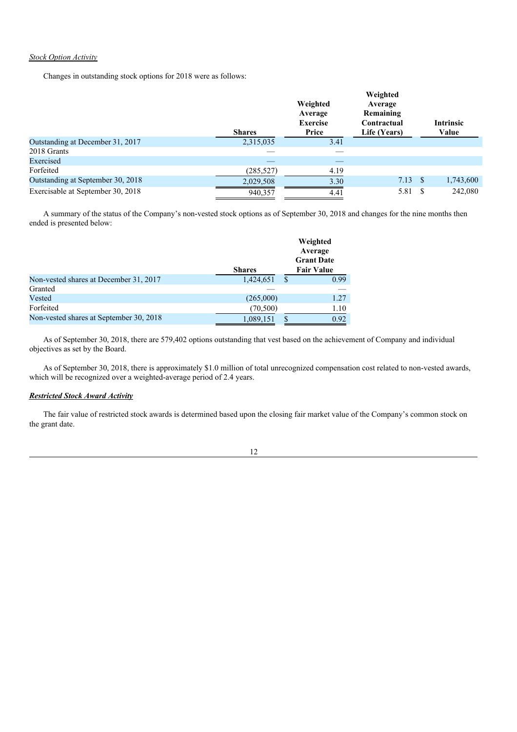## *Stock Option Activity*

Changes in outstanding stock options for 2018 were as follows:

|                                   | Weighted<br>Average<br><b>Exercise</b><br>Price<br><b>Shares</b> |      | Weighted<br>Average<br>Remaining<br>Contractual<br>Life (Years) | <b>Intrinsic</b><br>Value |
|-----------------------------------|------------------------------------------------------------------|------|-----------------------------------------------------------------|---------------------------|
| Outstanding at December 31, 2017  | 2,315,035                                                        | 3.41 |                                                                 |                           |
| 2018 Grants                       |                                                                  |      |                                                                 |                           |
| Exercised                         |                                                                  |      |                                                                 |                           |
| Forfeited                         | (285, 527)                                                       | 4.19 |                                                                 |                           |
| Outstanding at September 30, 2018 | 2,029,508                                                        | 3.30 | $7.13 \quad$                                                    | 1,743,600                 |
| Exercisable at September 30, 2018 | 940,357                                                          | 4.41 | 5.81                                                            | 242,080                   |

A summary of the status of the Company's non-vested stock options as of September 30, 2018 and changes for the nine months then ended is presented below:

|                                         | <b>Shares</b> |    | Weighted<br>Average<br><b>Grant Date</b><br><b>Fair Value</b> |
|-----------------------------------------|---------------|----|---------------------------------------------------------------|
| Non-vested shares at December 31, 2017  | 1,424,651     | S  | 0.99                                                          |
| Granted                                 |               |    |                                                               |
| Vested                                  | (265,000)     |    | 1.27                                                          |
| Forfeited                               | (70, 500)     |    | 1.10                                                          |
| Non-vested shares at September 30, 2018 | 1,089,151     | \$ | 0.92                                                          |

As of September 30, 2018, there are 579,402 options outstanding that vest based on the achievement of Company and individual objectives as set by the Board.

As of September 30, 2018, there is approximately \$1.0 million of total unrecognized compensation cost related to non-vested awards, which will be recognized over a weighted-average period of 2.4 years.

## *Restricted Stock Award Activity*

The fair value of restricted stock awards is determined based upon the closing fair market value of the Company's common stock on the grant date.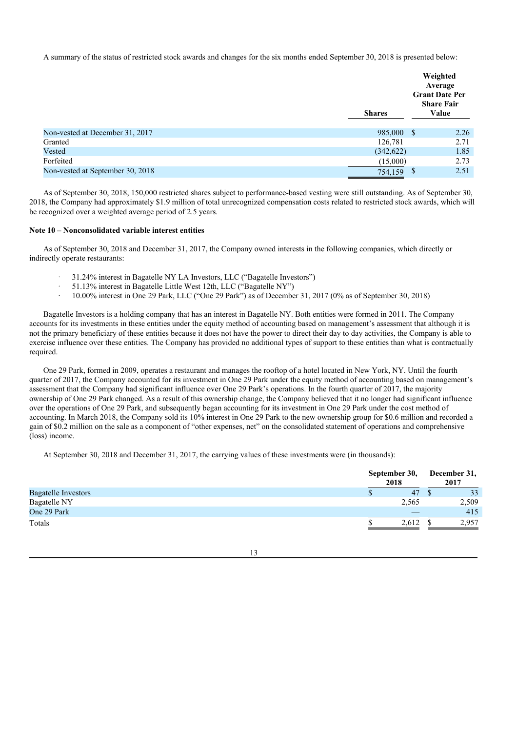A summary of the status of restricted stock awards and changes for the six months ended September 30, 2018 is presented below:

|                                  | <b>Shares</b> | Weighted<br>Average<br><b>Grant Date Per</b><br><b>Share Fair</b><br>Value |
|----------------------------------|---------------|----------------------------------------------------------------------------|
| Non-vested at December 31, 2017  | 985,000       | 2.26<br>- \$                                                               |
| Granted                          | 126,781       | 2.71                                                                       |
| Vested                           | (342, 622)    | 1.85                                                                       |
| Forfeited                        | (15,000)      | 2.73                                                                       |
| Non-vested at September 30, 2018 | 754,159       | 2.51<br>S                                                                  |

As of September 30, 2018, 150,000 restricted shares subject to performance-based vesting were still outstanding. As of September 30, 2018, the Company had approximately \$1.9 million of total unrecognized compensation costs related to restricted stock awards, which will be recognized over a weighted average period of 2.5 years.

## **Note 10 – Nonconsolidated variable interest entities**

As of September 30, 2018 and December 31, 2017, the Company owned interests in the following companies, which directly or indirectly operate restaurants:

- · 31.24% interest in Bagatelle NY LA Investors, LLC ("Bagatelle Investors")
- · 51.13% interest in Bagatelle Little West 12th, LLC ("Bagatelle NY")
- · 10.00% interest in One 29 Park, LLC ("One 29 Park") as of December 31, 2017 (0% as of September 30, 2018)

Bagatelle Investors is a holding company that has an interest in Bagatelle NY. Both entities were formed in 2011. The Company accounts for its investments in these entities under the equity method of accounting based on management's assessment that although it is not the primary beneficiary of these entities because it does not have the power to direct their day to day activities, the Company is able to exercise influence over these entities. The Company has provided no additional types of support to these entities than what is contractually required.

One 29 Park, formed in 2009, operates a restaurant and manages the rooftop of a hotel located in New York, NY. Until the fourth quarter of 2017, the Company accounted for its investment in One 29 Park under the equity method of accounting based on management's assessment that the Company had significant influence over One 29 Park's operations. In the fourth quarter of 2017, the majority ownership of One 29 Park changed. As a result of this ownership change, the Company believed that it no longer had significant influence over the operations of One 29 Park, and subsequently began accounting for its investment in One 29 Park under the cost method of accounting. In March 2018, the Company sold its 10% interest in One 29 Park to the new ownership group for \$0.6 million and recorded a gain of \$0.2 million on the sale as a component of "other expenses, net" on the consolidated statement of operations and comprehensive (loss) income.

At September 30, 2018 and December 31, 2017, the carrying values of these investments were (in thousands):

|                            | September 30,<br>2018 | December 31,<br>2017 |  |  |
|----------------------------|-----------------------|----------------------|--|--|
| <b>Bagatelle Investors</b> | 47<br>D               | 33                   |  |  |
| <b>Bagatelle NY</b>        | 2,565                 | 2,509                |  |  |
| One 29 Park                | __                    | 415                  |  |  |
| Totals                     | 2.612                 | 2.957                |  |  |

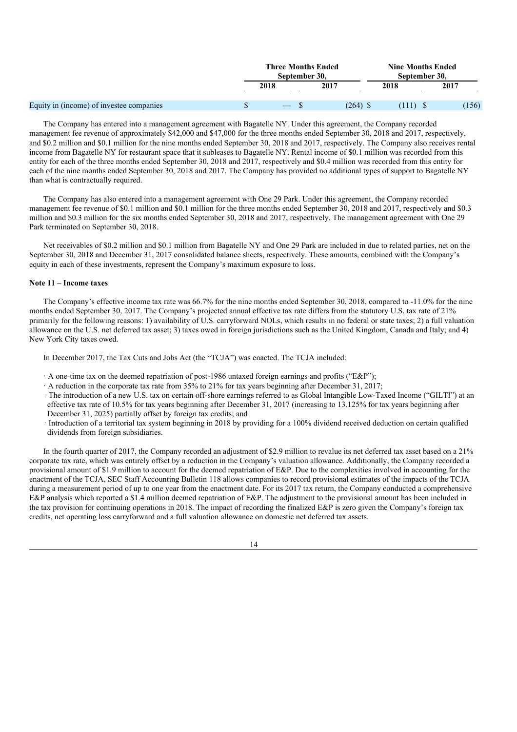|                                          | <b>Three Months Ended</b><br>September 30. |      |            | <b>Nine Months Ended</b><br>September 30. |  |       |
|------------------------------------------|--------------------------------------------|------|------------|-------------------------------------------|--|-------|
|                                          | 2018                                       | 2017 |            | 2018                                      |  | 2017  |
| Equity in (income) of investee companies | $\qquad \qquad - \qquad$                   |      | $(264)$ \$ |                                           |  | (156) |

The Company has entered into a management agreement with Bagatelle NY. Under this agreement, the Company recorded management fee revenue of approximately \$42,000 and \$47,000 for the three months ended September 30, 2018 and 2017, respectively, and \$0.2 million and \$0.1 million for the nine months ended September 30, 2018 and 2017, respectively. The Company also receives rental income from Bagatelle NY for restaurant space that it subleases to Bagatelle NY. Rental income of \$0.1 million was recorded from this entity for each of the three months ended September 30, 2018 and 2017, respectively and \$0.4 million was recorded from this entity for each of the nine months ended September 30, 2018 and 2017. The Company has provided no additional types of support to Bagatelle NY than what is contractually required.

The Company has also entered into a management agreement with One 29 Park. Under this agreement, the Company recorded management fee revenue of \$0.1 million and \$0.1 million for the three months ended September 30, 2018 and 2017, respectively and \$0.3 million and \$0.3 million for the six months ended September 30, 2018 and 2017, respectively. The management agreement with One 29 Park terminated on September 30, 2018.

Net receivables of \$0.2 million and \$0.1 million from Bagatelle NY and One 29 Park are included in due to related parties, net on the September 30, 2018 and December 31, 2017 consolidated balance sheets, respectively. These amounts, combined with the Company's equity in each of these investments, represent the Company's maximum exposure to loss.

## **Note 11 – Income taxes**

The Company's effective income tax rate was 66.7% for the nine months ended September 30, 2018, compared to -11.0% for the nine months ended September 30, 2017. The Company's projected annual effective tax rate differs from the statutory U.S. tax rate of 21% primarily for the following reasons: 1) availability of U.S. carryforward NOLs, which results in no federal or state taxes; 2) a full valuation allowance on the U.S. net deferred tax asset; 3) taxes owed in foreign jurisdictions such as the United Kingdom, Canada and Italy; and 4) New York City taxes owed.

In December 2017, the Tax Cuts and Jobs Act (the "TCJA") was enacted. The TCJA included:

- · A one-time tax on the deemed repatriation of post-1986 untaxed foreign earnings and profits ("E&P");
- · A reduction in the corporate tax rate from 35% to 21% for tax years beginning after December 31, 2017;
- · The introduction of a new U.S. tax on certain off-shore earnings referred to as Global Intangible Low-Taxed Income ("GILTI") at an effective tax rate of 10.5% for tax years beginning after December 31, 2017 (increasing to 13.125% for tax years beginning after December 31, 2025) partially offset by foreign tax credits; and
- · Introduction of a territorial tax system beginning in 2018 by providing for a 100% dividend received deduction on certain qualified dividends from foreign subsidiaries.

In the fourth quarter of 2017, the Company recorded an adjustment of \$2.9 million to revalue its net deferred tax asset based on a 21% corporate tax rate, which was entirely offset by a reduction in the Company's valuation allowance. Additionally, the Company recorded a provisional amount of \$1.9 million to account for the deemed repatriation of E&P. Due to the complexities involved in accounting for the enactment of the TCJA, SEC Staff Accounting Bulletin 118 allows companies to record provisional estimates of the impacts of the TCJA during a measurement period of up to one year from the enactment date. For its 2017 tax return, the Company conducted a comprehensive E&P analysis which reported a \$1.4 million deemed repatriation of E&P. The adjustment to the provisional amount has been included in the tax provision for continuing operations in 2018. The impact of recording the finalized E&P is zero given the Company's foreign tax credits, net operating loss carryforward and a full valuation allowance on domestic net deferred tax assets.

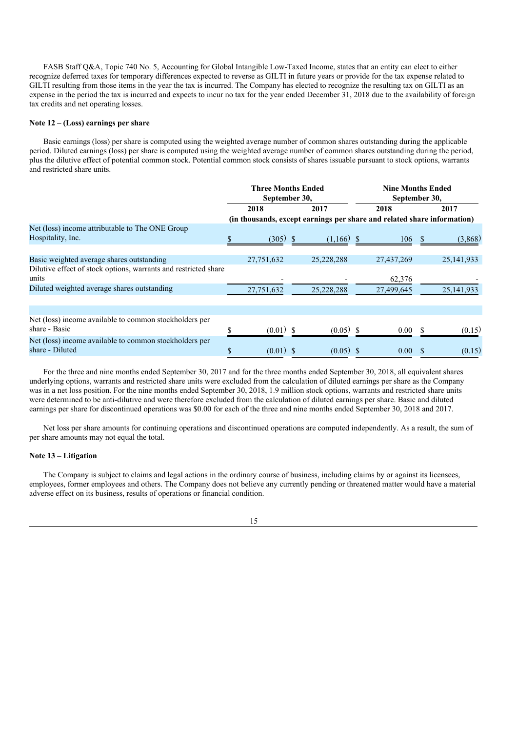FASB Staff Q&A, Topic 740 No. 5, Accounting for Global Intangible Low-Taxed Income, states that an entity can elect to either recognize deferred taxes for temporary differences expected to reverse as GILTI in future years or provide for the tax expense related to GILTI resulting from those items in the year the tax is incurred. The Company has elected to recognize the resulting tax on GILTI as an expense in the period the tax is incurred and expects to incur no tax for the year ended December 31, 2018 due to the availability of foreign tax credits and net operating losses.

### **Note 12 – (Loss) earnings per share**

Basic earnings (loss) per share is computed using the weighted average number of common shares outstanding during the applicable period. Diluted earnings (loss) per share is computed using the weighted average number of common shares outstanding during the period, plus the dilutive effect of potential common stock. Potential common stock consists of shares issuable pursuant to stock options, warrants and restricted share units.

|                                                                           |              | <b>Three Months Ended</b><br>September 30, |      |                                                                         | <b>Nine Months Ended</b><br>September 30, |            |  |              |  |  |
|---------------------------------------------------------------------------|--------------|--------------------------------------------|------|-------------------------------------------------------------------------|-------------------------------------------|------------|--|--------------|--|--|
|                                                                           | 2017<br>2018 |                                            | 2018 |                                                                         |                                           | 2017       |  |              |  |  |
|                                                                           |              |                                            |      | (in thousands, except earnings per share and related share information) |                                           |            |  |              |  |  |
| Net (loss) income attributable to The ONE Group<br>Hospitality, Inc.      |              | $(305)$ \$                                 |      | $(1,166)$ \$                                                            |                                           | 106        |  | (3,868)      |  |  |
| Basic weighted average shares outstanding                                 |              | 27,751,632                                 |      | 25,228,288                                                              |                                           | 27,437,269 |  | 25, 141, 933 |  |  |
| Dilutive effect of stock options, warrants and restricted share<br>units  |              |                                            |      |                                                                         |                                           | 62,376     |  |              |  |  |
| Diluted weighted average shares outstanding                               |              | 27,751,632                                 |      | 25,228,288                                                              |                                           | 27,499,645 |  | 25, 141, 933 |  |  |
|                                                                           |              |                                            |      |                                                                         |                                           |            |  |              |  |  |
| Net (loss) income available to common stockholders per<br>share - Basic   |              | $(0.01)$ \$                                |      | $(0.05)$ \$                                                             |                                           | $0.00\,$   |  | (0.15)       |  |  |
| Net (loss) income available to common stockholders per<br>share - Diluted |              | $(0.01)$ \$                                |      | $(0.05)$ \$                                                             |                                           | 0.00       |  | (0.15)       |  |  |

For the three and nine months ended September 30, 2017 and for the three months ended September 30, 2018, all equivalent shares underlying options, warrants and restricted share units were excluded from the calculation of diluted earnings per share as the Company was in a net loss position. For the nine months ended September 30, 2018, 1.9 million stock options, warrants and restricted share units were determined to be anti-dilutive and were therefore excluded from the calculation of diluted earnings per share. Basic and diluted earnings per share for discontinued operations was \$0.00 for each of the three and nine months ended September 30, 2018 and 2017.

Net loss per share amounts for continuing operations and discontinued operations are computed independently. As a result, the sum of per share amounts may not equal the total.

#### **Note 13 – Litigation**

The Company is subject to claims and legal actions in the ordinary course of business, including claims by or against its licensees, employees, former employees and others. The Company does not believe any currently pending or threatened matter would have a material adverse effect on its business, results of operations or financial condition.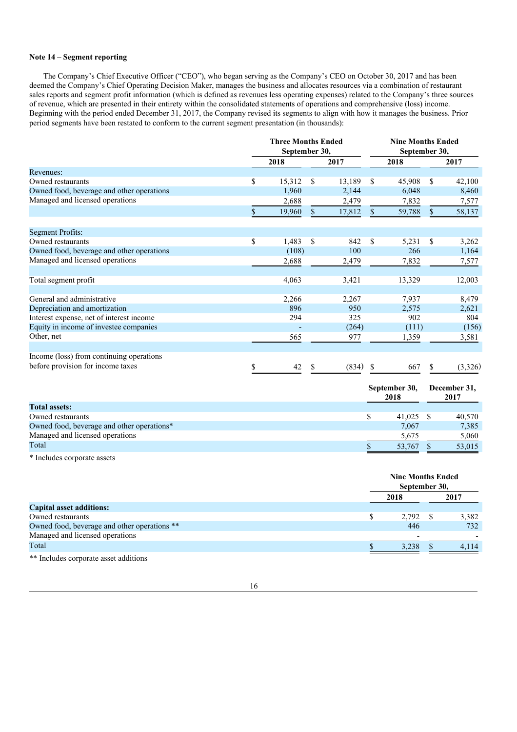## **Note 14 – Segment reporting**

The Company's Chief Executive Officer ("CEO"), who began serving as the Company's CEO on October 30, 2017 and has been deemed the Company's Chief Operating Decision Maker, manages the business and allocates resources via a combination of restaurant sales reports and segment profit information (which is defined as revenues less operating expenses) related to the Company's three sources of revenue, which are presented in their entirety within the consolidated statements of operations and comprehensive (loss) income. Beginning with the period ended December 31, 2017, the Company revised its segments to align with how it manages the business. Prior period segments have been restated to conform to the current segment presentation (in thousands):

|                                           |               | <b>Three Months Ended</b> |             |               | <b>Nine Months Ended</b> |        |               |         |
|-------------------------------------------|---------------|---------------------------|-------------|---------------|--------------------------|--------|---------------|---------|
|                                           | September 30, |                           |             | September 30, |                          |        |               |         |
|                                           |               | 2018                      |             | 2017          |                          | 2018   |               | 2017    |
| Revenues:                                 |               |                           |             |               |                          |        |               |         |
| Owned restaurants                         | \$            | 15,312                    | \$          | 13,189        | <sup>\$</sup>            | 45,908 | <sup>\$</sup> | 42,100  |
| Owned food, beverage and other operations |               | 1,960                     |             | 2,144         |                          | 6,048  |               | 8,460   |
| Managed and licensed operations           |               | 2,688                     |             | 2,479         |                          | 7,832  |               | 7,577   |
|                                           |               | 19,960                    | $\mathbf S$ | 17,812        | <sup>\$</sup>            | 59,788 | <sup>\$</sup> | 58,137  |
|                                           |               |                           |             |               |                          |        |               |         |
| <b>Segment Profits:</b>                   |               |                           |             |               |                          |        |               |         |
| Owned restaurants                         | \$            | 1,483                     | \$          | 842           | <sup>\$</sup>            | 5,231  | S             | 3,262   |
| Owned food, beverage and other operations |               | (108)                     |             | 100           |                          | 266    |               | 1,164   |
| Managed and licensed operations           |               | 2,688                     |             | 2,479         |                          | 7,832  |               | 7,577   |
| Total segment profit                      |               | 4,063                     |             | 3,421         |                          | 13,329 |               | 12,003  |
|                                           |               |                           |             |               |                          |        |               |         |
| General and administrative                |               | 2,266                     |             | 2,267         |                          | 7,937  |               | 8,479   |
| Depreciation and amortization             |               | 896                       |             | 950           |                          | 2,575  |               | 2,621   |
| Interest expense, net of interest income  |               | 294                       |             | 325           |                          | 902    |               | 804     |
| Equity in income of investee companies    |               |                           |             | (264)         |                          | (111)  |               | (156)   |
| Other, net                                |               | 565                       |             | 977           |                          | 1,359  |               | 3,581   |
|                                           |               |                           |             |               |                          |        |               |         |
| Income (loss) from continuing operations  |               |                           |             |               |                          |        |               |         |
| before provision for income taxes         |               | 42                        |             | (834)         |                          | 667    |               | (3,326) |

|                                            | September 30,<br>2018 |        |  | December 31,<br>2017 |  |  |
|--------------------------------------------|-----------------------|--------|--|----------------------|--|--|
| <b>Total assets:</b>                       |                       |        |  |                      |  |  |
| Owned restaurants                          |                       | 41,025 |  | 40,570               |  |  |
| Owned food, beverage and other operations* |                       | 7.067  |  | 7,385                |  |  |
| Managed and licensed operations            |                       | 5.675  |  | 5,060                |  |  |
| Total                                      |                       | 53,767 |  | 53,015               |  |  |

\* Includes corporate assets

|                                              | <b>Nine Months Ended</b><br>September 30, |       |
|----------------------------------------------|-------------------------------------------|-------|
|                                              | 2018                                      | 2017  |
| <b>Capital asset additions:</b>              |                                           |       |
| Owned restaurants                            | 2,792                                     | 3,382 |
| Owned food, beverage and other operations ** | 446                                       | 732   |
| Managed and licensed operations              | $\overline{ }$                            |       |
| Total                                        | 3,238                                     | 4.114 |
| ** Includes corporate asset additions        |                                           |       |

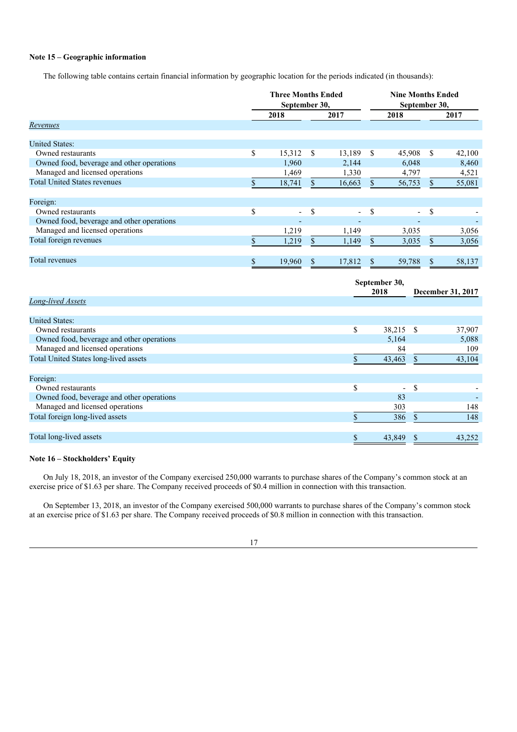## **Note 15 – Geographic information**

The following table contains certain financial information by geographic location for the periods indicated (in thousands):

|                                           | <b>Three Months Ended</b><br>September 30, |                          |    | <b>Nine Months Ended</b><br>September 30, |               |                          |   |        |
|-------------------------------------------|--------------------------------------------|--------------------------|----|-------------------------------------------|---------------|--------------------------|---|--------|
|                                           |                                            | 2018                     |    | 2017                                      |               | 2018                     |   | 2017   |
| Revenues                                  |                                            |                          |    |                                           |               |                          |   |        |
| <b>United States:</b>                     |                                            |                          |    |                                           |               |                          |   |        |
| Owned restaurants                         | \$                                         | 15,312                   | S  | 13,189                                    | -S            | 45,908                   | S | 42,100 |
| Owned food, beverage and other operations |                                            | 1,960                    |    | 2,144                                     |               | 6,048                    |   | 8,460  |
| Managed and licensed operations           |                                            | 1,469                    |    | 1,330                                     |               | 4,797                    |   | 4,521  |
| <b>Total United States revenues</b>       |                                            | 18,741                   |    | 16,663                                    |               | 56,753                   |   | 55,081 |
| Foreign:                                  |                                            |                          |    |                                           |               |                          |   |        |
| Owned restaurants                         | \$                                         | $\overline{\phantom{0}}$ | \$ | $\sim$                                    | S             | $\overline{\phantom{a}}$ | S |        |
| Owned food, beverage and other operations |                                            |                          |    |                                           |               |                          |   |        |
| Managed and licensed operations           |                                            | 1,219                    |    | 1,149                                     |               | 3,035                    |   | 3,056  |
| Total foreign revenues                    |                                            | 1,219                    | S  | 1,149                                     | S.            | 3,035                    |   | 3,056  |
| Total revenues                            |                                            | 19,960                   | \$ | 17,812                                    | <sup>\$</sup> | 59,788                   |   | 58,137 |

|                                           | September 30, |                                           |
|-------------------------------------------|---------------|-------------------------------------------|
|                                           | 2018          | December 31, 2017                         |
| Long-lived Assets                         |               |                                           |
|                                           |               |                                           |
| <b>United States:</b>                     |               |                                           |
| Owned restaurants                         | \$            | 38,215 \$<br>37,907                       |
| Owned food, beverage and other operations |               | 5,164<br>5,088                            |
| Managed and licensed operations           |               | 84<br>109                                 |
| Total United States long-lived assets     |               | 43,104<br>43,463                          |
|                                           |               |                                           |
| Foreign:                                  |               |                                           |
| Owned restaurants                         | \$            | <sup>\$</sup><br>$\overline{\phantom{0}}$ |
| Owned food, beverage and other operations |               | 83                                        |
| Managed and licensed operations           |               | 148<br>303                                |
| Total foreign long-lived assets           |               | 386<br>148<br>\$                          |
|                                           |               |                                           |
| Total long-lived assets                   |               | 43,252<br>43,849                          |
|                                           |               |                                           |

## **Note 16 – Stockholders' Equity**

On July 18, 2018, an investor of the Company exercised 250,000 warrants to purchase shares of the Company's common stock at an exercise price of \$1.63 per share. The Company received proceeds of \$0.4 million in connection with this transaction.

On September 13, 2018, an investor of the Company exercised 500,000 warrants to purchase shares of the Company's common stock at an exercise price of \$1.63 per share. The Company received proceeds of \$0.8 million in connection with this transaction.

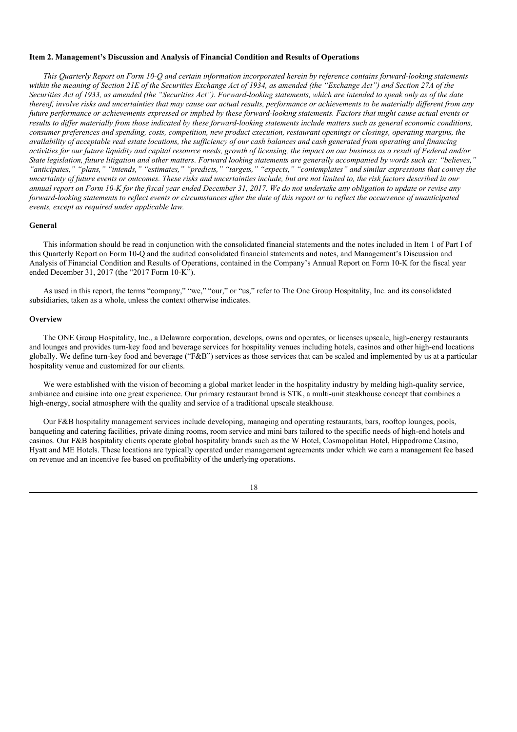#### **Item 2. Management's Discussion and Analysis of Financial Condition and Results of Operations**

This Quarterly Report on Form 10-Q and certain information incorporated herein by reference contains forward-looking statements within the meaning of Section 21E of the Securities Exchange Act of 1934, as amended (the "Exchange Act") and Section 27A of the Securities Act of 1933, as amended (the "Securities Act"). Forward-looking statements, which are intended to speak only as of the date thereof, involve risks and uncertainties that may cause our actual results, performance or achievements to be materially different from any future performance or achievements expressed or implied by these forward-looking statements. Factors that might cause actual events or results to differ materially from those indicated by these forward-looking statements include matters such as general economic conditions. consumer preferences and spending, costs, competition, new product execution, restaurant openings or closings, operating margins, the availability of acceptable real estate locations, the sufficiency of our cash balances and cash generated from operating and financing activities for our future liquidity and capital resource needs, growth of licensing, the impact on our business as a result of Federal and/or State legislation, future litigation and other matters. Forward looking statements are generally accompanied by words such as: "believes," "anticipates," "plans," "intends," "estimates," "predicts," "targets," "expects," "contemplates" and similar expressions that convey the uncertainty of future events or outcomes. These risks and uncertainties include, but are not limited to, the risk factors described in our annual report on Form 10-K for the fiscal year ended December 31, 2017. We do not undertake any obligation to update or revise any forward-looking statements to reflect events or circumstances after the date of this report or to reflect the occurrence of unanticipated *events, except as required under applicable law.*

## **General**

This information should be read in conjunction with the consolidated financial statements and the notes included in Item 1 of Part I of this Quarterly Report on Form 10-Q and the audited consolidated financial statements and notes, and Management's Discussion and Analysis of Financial Condition and Results of Operations, contained in the Company's Annual Report on Form 10-K for the fiscal year ended December 31, 2017 (the "2017 Form 10-K").

As used in this report, the terms "company," "we," "our," or "us," refer to The One Group Hospitality, Inc. and its consolidated subsidiaries, taken as a whole, unless the context otherwise indicates.

### **Overview**

The ONE Group Hospitality, Inc., a Delaware corporation, develops, owns and operates, or licenses upscale, high-energy restaurants and lounges and provides turn-key food and beverage services for hospitality venues including hotels, casinos and other high-end locations globally. We define turn-key food and beverage ("F&B") services as those services that can be scaled and implemented by us at a particular hospitality venue and customized for our clients.

We were established with the vision of becoming a global market leader in the hospitality industry by melding high-quality service, ambiance and cuisine into one great experience. Our primary restaurant brand is STK, a multi-unit steakhouse concept that combines a high-energy, social atmosphere with the quality and service of a traditional upscale steakhouse.

Our F&B hospitality management services include developing, managing and operating restaurants, bars, rooftop lounges, pools, banqueting and catering facilities, private dining rooms, room service and mini bars tailored to the specific needs of high-end hotels and casinos. Our F&B hospitality clients operate global hospitality brands such as the W Hotel, Cosmopolitan Hotel, Hippodrome Casino, Hyatt and ME Hotels. These locations are typically operated under management agreements under which we earn a management fee based on revenue and an incentive fee based on profitability of the underlying operations.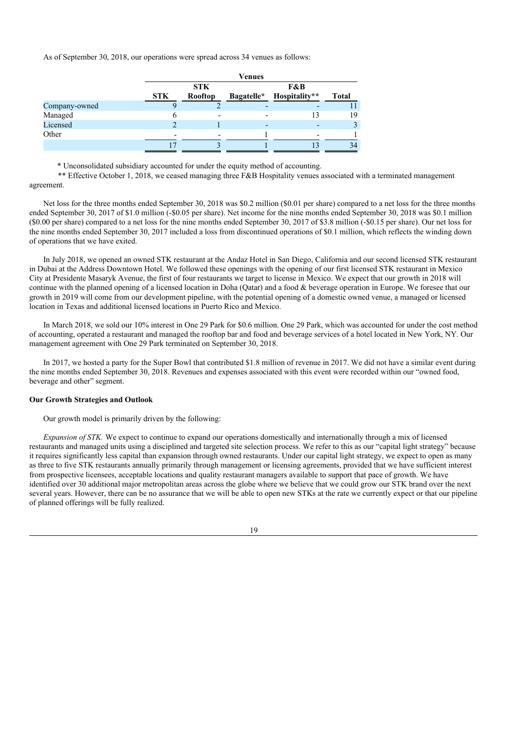As of September 30, 2018, our operations were spread across 34 venues as follows:

|               |            |            | Venues     |               |              |
|---------------|------------|------------|------------|---------------|--------------|
|               |            | <b>STK</b> |            | F&B           |              |
|               | <b>STK</b> | Rooftop    | Bagatelle* | Hospitality** | <b>Total</b> |
| Company-owned |            |            |            |               |              |
| Managed       |            |            |            | 13            | 19           |
| Licensed      |            |            |            |               |              |
| Other         | -          |            |            |               |              |
|               |            |            |            |               | 34           |

\* Unconsolidated subsidiary accounted for under the equity method of accounting.

\*\* Effective October 1, 2018, we ceased managing three F&B Hospitality venues associated with a terminated management agreement.

Net loss for the three months ended September 30, 2018 was \$0.2 million (\$0.01 per share) compared to a net loss for the three months ended September 30, 2017 of \$1.0 million (-\$0.05 per share). Net income for the nine months ended September 30, 2018 was \$0.1 million (\$0.00 per share) compared to a net loss for the nine months ended September 30, 2017 of \$3.8 million (-\$0.15 per share). Our net loss for the nine months ended September 30, 2017 included a loss from discontinued operations of \$0.1 million, which reflects the winding down of operations that we have exited.

In July 2018, we opened an owned STK restaurant at the Andaz Hotel in San Diego, California and our second licensed STK restaurant in Dubai at the Address Downtown Hotel. We followed these openings with the opening of our first licensed STK restaurant in Mexico City at Presidente Masaryk Avenue, the first of four restaurants we target to license in Mexico. We expect that our growth in 2018 will continue with the planned opening of a licensed location in Doha (Qatar) and a food & beverage operation in Europe. We foresee that our growth in 2019 will come from our development pipeline, with the potential opening of a domestic owned venue, a managed or licensed location in Texas and additional licensed locations in Puerto Rico and Mexico.

In March 2018, we sold our 10% interest in One 29 Park for \$0.6 million. One 29 Park, which was accounted for under the cost method of accounting, operated a restaurant and managed the rooftop bar and food and beverage services of a hotel located in New York, NY. Our management agreement with One 29 Park terminated on September 30, 2018.

In 2017, we hosted a party for the Super Bowl that contributed \$1.8 million of revenue in 2017. We did not have a similar event during the nine months ended September 30, 2018. Revenues and expenses associated with this event were recorded within our "owned food, beverage and other" segment.

### **Our Growth Strategies and Outlook**

Our growth model is primarily driven by the following:

*Expansion of STK.* We expect to continue to expand our operations domestically and internationally through a mix of licensed restaurants and managed units using a disciplined and targeted site selection process. We refer to this as our "capital light strategy" because it requires significantly less capital than expansion through owned restaurants. Under our capital light strategy, we expect to open as many as three to five STK restaurants annually primarily through management or licensing agreements, provided that we have sufficient interest from prospective licensees, acceptable locations and quality restaurant managers available to support that pace of growth. We have identified over 30 additional major metropolitan areas across the globe where we believe that we could grow our STK brand over the next several years. However, there can be no assurance that we will be able to open new STKs at the rate we currently expect or that our pipeline of planned offerings will be fully realized.

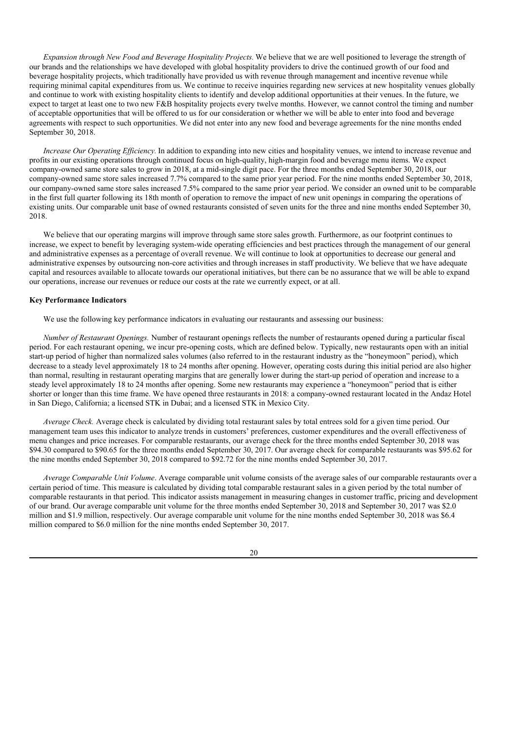*Expansion through New Food and Beverage Hospitality Projects.* We believe that we are well positioned to leverage the strength of our brands and the relationships we have developed with global hospitality providers to drive the continued growth of our food and beverage hospitality projects, which traditionally have provided us with revenue through management and incentive revenue while requiring minimal capital expenditures from us. We continue to receive inquiries regarding new services at new hospitality venues globally and continue to work with existing hospitality clients to identify and develop additional opportunities at their venues. In the future, we expect to target at least one to two new F&B hospitality projects every twelve months. However, we cannot control the timing and number of acceptable opportunities that will be offered to us for our consideration or whether we will be able to enter into food and beverage agreements with respect to such opportunities. We did not enter into any new food and beverage agreements for the nine months ended September 30, 2018.

*Increase Our Operating <i>Efficiency*. In addition to expanding into new cities and hospitality venues, we intend to increase revenue and profits in our existing operations through continued focus on high-quality, high-margin food and beverage menu items. We expect company-owned same store sales to grow in 2018, at a mid-single digit pace. For the three months ended September 30, 2018, our company-owned same store sales increased 7.7% compared to the same prior year period. For the nine months ended September 30, 2018, our company-owned same store sales increased 7.5% compared to the same prior year period. We consider an owned unit to be comparable in the first full quarter following its 18th month of operation to remove the impact of new unit openings in comparing the operations of existing units. Our comparable unit base of owned restaurants consisted of seven units for the three and nine months ended September 30, 2018.

We believe that our operating margins will improve through same store sales growth. Furthermore, as our footprint continues to increase, we expect to benefit by leveraging system-wide operating efficiencies and best practices through the management of our general and administrative expenses as a percentage of overall revenue. We will continue to look at opportunities to decrease our general and administrative expenses by outsourcing non-core activities and through increases in staff productivity. We believe that we have adequate capital and resources available to allocate towards our operational initiatives, but there can be no assurance that we will be able to expand our operations, increase our revenues or reduce our costs at the rate we currently expect, or at all.

## **Key Performance Indicators**

We use the following key performance indicators in evaluating our restaurants and assessing our business:

*Number of Restaurant Openings.* Number of restaurant openings reflects the number of restaurants opened during a particular fiscal period. For each restaurant opening, we incur pre-opening costs, which are defined below. Typically, new restaurants open with an initial start-up period of higher than normalized sales volumes (also referred to in the restaurant industry as the "honeymoon" period), which decrease to a steady level approximately 18 to 24 months after opening. However, operating costs during this initial period are also higher than normal, resulting in restaurant operating margins that are generally lower during the start-up period of operation and increase to a steady level approximately 18 to 24 months after opening. Some new restaurants may experience a "honeymoon" period that is either shorter or longer than this time frame. We have opened three restaurants in 2018: a company-owned restaurant located in the Andaz Hotel in San Diego, California; a licensed STK in Dubai; and a licensed STK in Mexico City.

*Average Check.* Average check is calculated by dividing total restaurant sales by total entrees sold for a given time period. Our management team uses this indicator to analyze trends in customers' preferences, customer expenditures and the overall effectiveness of menu changes and price increases. For comparable restaurants, our average check for the three months ended September 30, 2018 was \$94.30 compared to \$90.65 for the three months ended September 30, 2017. Our average check for comparable restaurants was \$95.62 for the nine months ended September 30, 2018 compared to \$92.72 for the nine months ended September 30, 2017.

*Average Comparable Unit Volume*. Average comparable unit volume consists of the average sales of our comparable restaurants over a certain period of time. This measure is calculated by dividing total comparable restaurant sales in a given period by the total number of comparable restaurants in that period. This indicator assists management in measuring changes in customer traffic, pricing and development of our brand. Our average comparable unit volume for the three months ended September 30, 2018 and September 30, 2017 was \$2.0 million and \$1.9 million, respectively. Our average comparable unit volume for the nine months ended September 30, 2018 was \$6.4 million compared to \$6.0 million for the nine months ended September 30, 2017.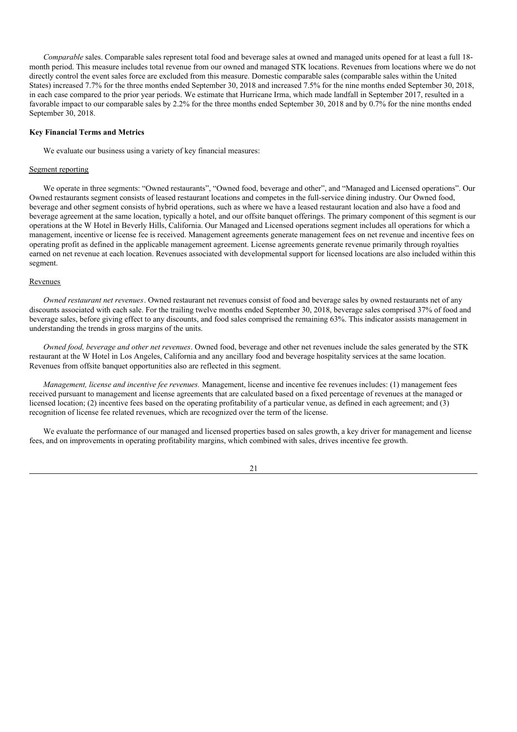*Comparable* sales. Comparable sales represent total food and beverage sales at owned and managed units opened for at least a full 18 month period. This measure includes total revenue from our owned and managed STK locations. Revenues from locations where we do not directly control the event sales force are excluded from this measure. Domestic comparable sales (comparable sales within the United States) increased 7.7% for the three months ended September 30, 2018 and increased 7.5% for the nine months ended September 30, 2018, in each case compared to the prior year periods. We estimate that Hurricane Irma, which made landfall in September 2017, resulted in a favorable impact to our comparable sales by 2.2% for the three months ended September 30, 2018 and by 0.7% for the nine months ended September 30, 2018.

#### **Key Financial Terms and Metrics**

We evaluate our business using a variety of key financial measures:

#### Segment reporting

We operate in three segments: "Owned restaurants", "Owned food, beverage and other", and "Managed and Licensed operations". Our Owned restaurants segment consists of leased restaurant locations and competes in the full-service dining industry. Our Owned food, beverage and other segment consists of hybrid operations, such as where we have a leased restaurant location and also have a food and beverage agreement at the same location, typically a hotel, and our offsite banquet offerings. The primary component of this segment is our operations at the W Hotel in Beverly Hills, California. Our Managed and Licensed operations segment includes all operations for which a management, incentive or license fee is received. Management agreements generate management fees on net revenue and incentive fees on operating profit as defined in the applicable management agreement. License agreements generate revenue primarily through royalties earned on net revenue at each location. Revenues associated with developmental support for licensed locations are also included within this segment.

### Revenues

*Owned restaurant net revenues*. Owned restaurant net revenues consist of food and beverage sales by owned restaurants net of any discounts associated with each sale. For the trailing twelve months ended September 30, 2018, beverage sales comprised 37% of food and beverage sales, before giving effect to any discounts, and food sales comprised the remaining 63%. This indicator assists management in understanding the trends in gross margins of the units.

*Owned food, beverage and other net revenues*. Owned food, beverage and other net revenues include the sales generated by the STK restaurant at the W Hotel in Los Angeles, California and any ancillary food and beverage hospitality services at the same location. Revenues from offsite banquet opportunities also are reflected in this segment.

*Management, license and incentive fee revenues.* Management, license and incentive fee revenues includes: (1) management fees received pursuant to management and license agreements that are calculated based on a fixed percentage of revenues at the managed or licensed location; (2) incentive fees based on the operating profitability of a particular venue, as defined in each agreement; and (3) recognition of license fee related revenues, which are recognized over the term of the license.

We evaluate the performance of our managed and licensed properties based on sales growth, a key driver for management and license fees, and on improvements in operating profitability margins, which combined with sales, drives incentive fee growth.

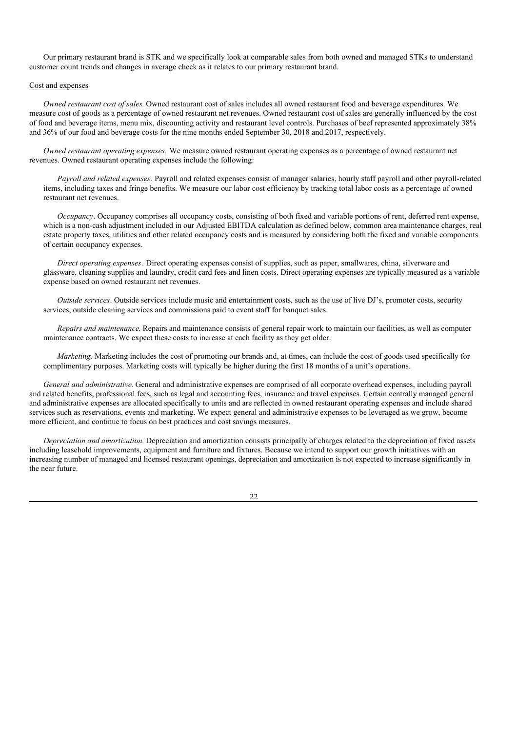Our primary restaurant brand is STK and we specifically look at comparable sales from both owned and managed STKs to understand customer count trends and changes in average check as it relates to our primary restaurant brand.

## Cost and expenses

*Owned restaurant cost of sales.* Owned restaurant cost of sales includes all owned restaurant food and beverage expenditures. We measure cost of goods as a percentage of owned restaurant net revenues. Owned restaurant cost of sales are generally influenced by the cost of food and beverage items, menu mix, discounting activity and restaurant level controls. Purchases of beef represented approximately 38% and 36% of our food and beverage costs for the nine months ended September 30, 2018 and 2017, respectively.

*Owned restaurant operating expenses.* We measure owned restaurant operating expenses as a percentage of owned restaurant net revenues. Owned restaurant operating expenses include the following:

*Payroll and related expenses*. Payroll and related expenses consist of manager salaries, hourly staff payroll and other payroll-related items, including taxes and fringe benefits. We measure our labor cost efficiency by tracking total labor costs as a percentage of owned restaurant net revenues.

*Occupancy*. Occupancy comprises all occupancy costs, consisting of both fixed and variable portions of rent, deferred rent expense, which is a non-cash adjustment included in our Adjusted EBITDA calculation as defined below, common area maintenance charges, real estate property taxes, utilities and other related occupancy costs and is measured by considering both the fixed and variable components of certain occupancy expenses.

*Direct operating expenses*. Direct operating expenses consist of supplies, such as paper, smallwares, china, silverware and glassware, cleaning supplies and laundry, credit card fees and linen costs. Direct operating expenses are typically measured as a variable expense based on owned restaurant net revenues.

*Outside services*. Outside services include music and entertainment costs, such as the use of live DJ's, promoter costs, security services, outside cleaning services and commissions paid to event staff for banquet sales.

*Repairs and maintenance*. Repairs and maintenance consists of general repair work to maintain our facilities, as well as computer maintenance contracts. We expect these costs to increase at each facility as they get older.

*Marketing.* Marketing includes the cost of promoting our brands and, at times, can include the cost of goods used specifically for complimentary purposes. Marketing costs will typically be higher during the first 18 months of a unit's operations.

*General and administrative.* General and administrative expenses are comprised of all corporate overhead expenses, including payroll and related benefits, professional fees, such as legal and accounting fees, insurance and travel expenses. Certain centrally managed general and administrative expenses are allocated specifically to units and are reflected in owned restaurant operating expenses and include shared services such as reservations, events and marketing. We expect general and administrative expenses to be leveraged as we grow, become more efficient, and continue to focus on best practices and cost savings measures.

*Depreciation and amortization.* Depreciation and amortization consists principally of charges related to the depreciation of fixed assets including leasehold improvements, equipment and furniture and fixtures. Because we intend to support our growth initiatives with an increasing number of managed and licensed restaurant openings, depreciation and amortization is not expected to increase significantly in the near future.

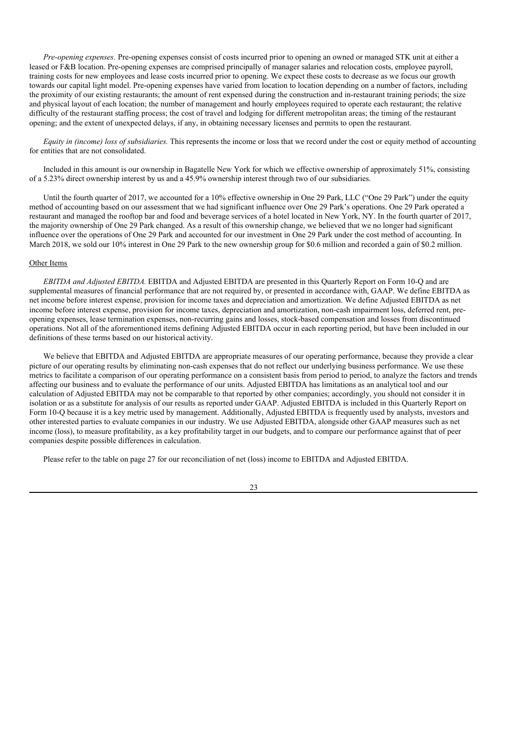*Pre-opening expenses.* Pre-opening expenses consist of costs incurred prior to opening an owned or managed STK unit at either a leased or F&B location. Pre-opening expenses are comprised principally of manager salaries and relocation costs, employee payroll, training costs for new employees and lease costs incurred prior to opening. We expect these costs to decrease as we focus our growth towards our capital light model. Pre-opening expenses have varied from location to location depending on a number of factors, including the proximity of our existing restaurants; the amount of rent expensed during the construction and in-restaurant training periods; the size and physical layout of each location; the number of management and hourly employees required to operate each restaurant; the relative difficulty of the restaurant staffing process; the cost of travel and lodging for different metropolitan areas; the timing of the restaurant opening; and the extent of unexpected delays, if any, in obtaining necessary licenses and permits to open the restaurant.

*Equity in (income) loss of subsidiaries.* This represents the income or loss that we record under the cost or equity method of accounting for entities that are not consolidated.

Included in this amount is our ownership in Bagatelle New York for which we effective ownership of approximately 51%, consisting of a 5.23% direct ownership interest by us and a 45.9% ownership interest through two of our subsidiaries.

Until the fourth quarter of 2017, we accounted for a 10% effective ownership in One 29 Park, LLC ("One 29 Park") under the equity method of accounting based on our assessment that we had significant influence over One 29 Park's operations. One 29 Park operated a restaurant and managed the rooftop bar and food and beverage services of a hotel located in New York, NY. In the fourth quarter of 2017, the majority ownership of One 29 Park changed. As a result of this ownership change, we believed that we no longer had significant influence over the operations of One 29 Park and accounted for our investment in One 29 Park under the cost method of accounting. In March 2018, we sold our 10% interest in One 29 Park to the new ownership group for \$0.6 million and recorded a gain of \$0.2 million.

## Other Items

*EBITDA and Adjusted EBITDA.* EBITDA and Adjusted EBITDA are presented in this Quarterly Report on Form 10-Q and are supplemental measures of financial performance that are not required by, or presented in accordance with, GAAP. We define EBITDA as net income before interest expense, provision for income taxes and depreciation and amortization. We define Adjusted EBITDA as net income before interest expense, provision for income taxes, depreciation and amortization, non-cash impairment loss, deferred rent, preopening expenses, lease termination expenses, non-recurring gains and losses, stock-based compensation and losses from discontinued operations. Not all of the aforementioned items defining Adjusted EBITDA occur in each reporting period, but have been included in our definitions of these terms based on our historical activity.

We believe that EBITDA and Adjusted EBITDA are appropriate measures of our operating performance, because they provide a clear picture of our operating results by eliminating non-cash expenses that do not reflect our underlying business performance. We use these metrics to facilitate a comparison of our operating performance on a consistent basis from period to period, to analyze the factors and trends affecting our business and to evaluate the performance of our units. Adjusted EBITDA has limitations as an analytical tool and our calculation of Adjusted EBITDA may not be comparable to that reported by other companies; accordingly, you should not consider it in isolation or as a substitute for analysis of our results as reported under GAAP. Adjusted EBITDA is included in this Quarterly Report on Form 10-Q because it is a key metric used by management. Additionally, Adjusted EBITDA is frequently used by analysts, investors and other interested parties to evaluate companies in our industry. We use Adjusted EBITDA, alongside other GAAP measures such as net income (loss), to measure profitability, as a key profitability target in our budgets, and to compare our performance against that of peer companies despite possible differences in calculation.

Please refer to the table on page 27 for our reconciliation of net (loss) income to EBITDA and Adjusted EBITDA.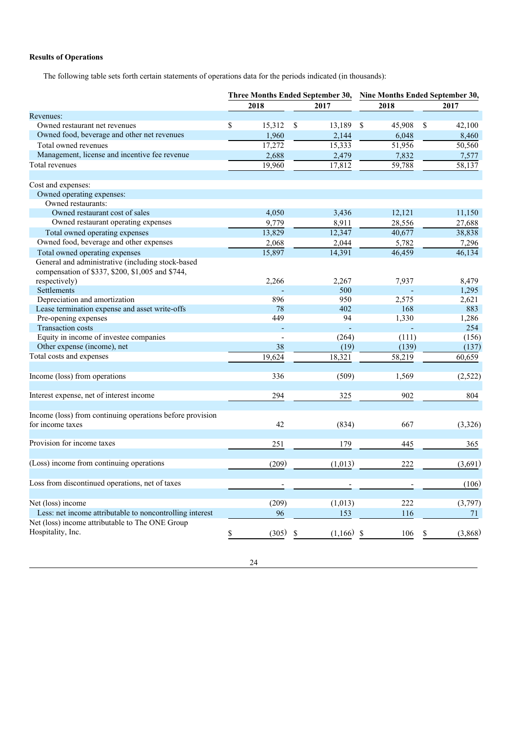# **Results of Operations**

The following table sets forth certain statements of operations data for the periods indicated (in thousands):

|                                                                                                       |              | Three Months Ended September 30, |              | Nine Months Ended September 30, |
|-------------------------------------------------------------------------------------------------------|--------------|----------------------------------|--------------|---------------------------------|
|                                                                                                       | 2018         | 2017                             | 2018         | 2017                            |
| Revenues:                                                                                             |              |                                  |              |                                 |
| Owned restaurant net revenues                                                                         | \$<br>15,312 | \$<br>13,189                     | \$<br>45,908 | 42,100<br>\$                    |
| Owned food, beverage and other net revenues                                                           | 1,960        | 2,144                            | 6,048        | 8,460                           |
| Total owned revenues                                                                                  | 17,272       | 15,333                           | 51,956       | 50,560                          |
| Management, license and incentive fee revenue                                                         | 2,688        | 2,479                            | 7,832        | 7,577                           |
| Total revenues                                                                                        | 19.960       | 17,812                           | 59,788       | 58,137                          |
| Cost and expenses:                                                                                    |              |                                  |              |                                 |
| Owned operating expenses:                                                                             |              |                                  |              |                                 |
| Owned restaurants:                                                                                    |              |                                  |              |                                 |
| Owned restaurant cost of sales                                                                        | 4,050        | 3,436                            | 12,121       | 11,150                          |
| Owned restaurant operating expenses                                                                   | 9,779        | 8,911                            | 28,556       | 27,688                          |
| Total owned operating expenses                                                                        | 13,829       | 12,347                           | 40,677       | 38,838                          |
| Owned food, beverage and other expenses                                                               | 2,068        | 2,044                            | 5,782        | 7,296                           |
| Total owned operating expenses                                                                        | 15,897       | 14,391                           | 46.459       | 46,134                          |
| General and administrative (including stock-based<br>compensation of \$337, \$200, \$1,005 and \$744, |              |                                  |              |                                 |
| respectively)                                                                                         | 2,266        | 2,267                            | 7,937        | 8,479                           |
| Settlements                                                                                           |              | 500                              |              | 1,295                           |
| Depreciation and amortization                                                                         | 896          | 950                              | 2,575        | 2,621                           |
| Lease termination expense and asset write-offs                                                        | 78           | 402                              | 168          | 883                             |
| Pre-opening expenses                                                                                  | 449          | 94                               | 1,330        | 1,286                           |
| Transaction costs                                                                                     |              |                                  |              | 254                             |
| Equity in income of investee companies                                                                |              | (264)                            | (111)        | (156)                           |
| Other expense (income), net                                                                           | 38           | (19)                             | (139)        | (137)                           |
| Total costs and expenses                                                                              | 19,624       | 18,321                           | 58,219       | 60,659                          |
| Income (loss) from operations                                                                         | 336          | (509)                            | 1,569        | (2,522)                         |
| Interest expense, net of interest income                                                              | 294          | 325                              | 902          | 804                             |
| Income (loss) from continuing operations before provision                                             |              |                                  |              |                                 |
| for income taxes                                                                                      | 42           | (834)                            | 667          | (3,326)                         |
| Provision for income taxes                                                                            | 251          | 179                              | 445          | 365                             |
| (Loss) income from continuing operations                                                              | (209)        | (1,013)                          | 222          | (3,691)                         |
| Loss from discontinued operations, net of taxes                                                       |              |                                  |              | (106)                           |
|                                                                                                       |              |                                  |              |                                 |
| Net (loss) income                                                                                     | (209)        | (1,013)                          | 222          | (3,797)                         |
| Less: net income attributable to noncontrolling interest                                              | 96           | 153                              | 116          | 71                              |
| Net (loss) income attributable to The ONE Group                                                       |              |                                  |              |                                 |
| Hospitality, Inc.                                                                                     | (305)<br>\$  | \$<br>(1,166)                    | 106<br>\$    | (3,868)<br>\$                   |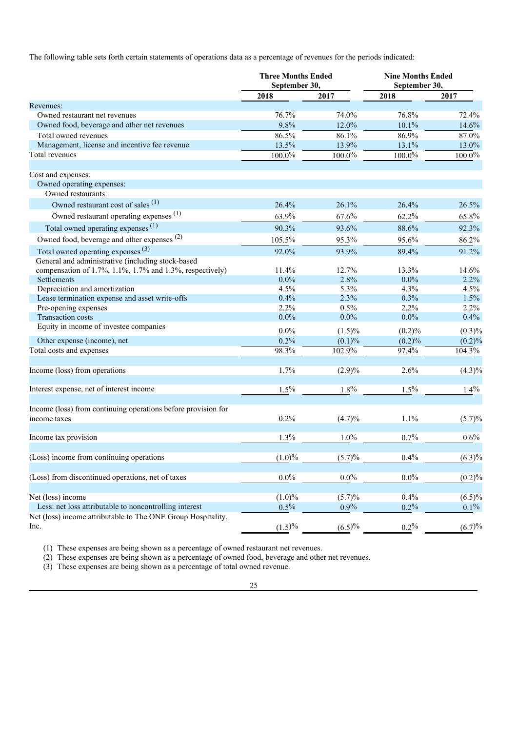The following table sets forth certain statements of operations data as a percentage of revenues for the periods indicated:

|                                                                               | <b>Three Months Ended</b><br>September 30, |           | <b>Nine Months Ended</b><br>September 30, |           |  |
|-------------------------------------------------------------------------------|--------------------------------------------|-----------|-------------------------------------------|-----------|--|
|                                                                               | 2018                                       | 2017      | 2018                                      | 2017      |  |
| Revenues:                                                                     |                                            |           |                                           |           |  |
| Owned restaurant net revenues                                                 | 76.7%                                      | 74.0%     | 76.8%                                     | 72.4%     |  |
| Owned food, beverage and other net revenues                                   | 9.8%                                       | 12.0%     | 10.1%                                     | 14.6%     |  |
| Total owned revenues                                                          | 86.5%                                      | 86.1%     | 86.9%                                     | 87.0%     |  |
| Management, license and incentive fee revenue                                 | 13.5%                                      | 13.9%     | 13.1%                                     | $13.0\%$  |  |
| Total revenues                                                                | $100.0\%$                                  | $100.0\%$ | $100.0\%$                                 | 100.0%    |  |
| Cost and expenses:                                                            |                                            |           |                                           |           |  |
| Owned operating expenses:<br>Owned restaurants:                               |                                            |           |                                           |           |  |
| Owned restaurant cost of sales <sup>(1)</sup>                                 | 26.4%                                      | 26.1%     | 26.4%                                     | 26.5%     |  |
| Owned restaurant operating expenses (1)                                       | 63.9%                                      | 67.6%     | 62.2%                                     | 65.8%     |  |
| Total owned operating expenses <sup>(1)</sup>                                 | 90.3%                                      | 93.6%     | 88.6%                                     | 92.3%     |  |
| Owned food, beverage and other expenses (2)                                   | 105.5%                                     | 95.3%     | 95.6%                                     | 86.2%     |  |
| Total owned operating expenses <sup>(3)</sup>                                 | 92.0%                                      | 93.9%     | 89.4%                                     | 91.2%     |  |
| General and administrative (including stock-based                             |                                            |           |                                           |           |  |
| compensation of 1.7%, 1.1%, 1.7% and 1.3%, respectively)                      | 11.4%                                      | 12.7%     | 13.3%                                     | 14.6%     |  |
| Settlements                                                                   | $0.0\%$                                    | 2.8%      | $0.0\%$                                   | 2.2%      |  |
| Depreciation and amortization                                                 | 4.5%                                       | 5.3%      | 4.3%                                      | 4.5%      |  |
| Lease termination expense and asset write-offs                                | 0.4%                                       | 2.3%      | 0.3%                                      | 1.5%      |  |
| Pre-opening expenses                                                          | 2.2%                                       | 0.5%      | 2.2%                                      | $2.2\%$   |  |
| <b>Transaction costs</b>                                                      | $0.0\%$                                    | $0.0\%$   | $0.0\%$                                   | 0.4%      |  |
| Equity in income of investee companies                                        | $0.0\%$                                    | $(1.5)\%$ | $(0.2)\%$                                 | $(0.3)\%$ |  |
| Other expense (income), net                                                   | 0.2%                                       | (0.1)%    | $(0.2)\%$                                 | $(0.2)\%$ |  |
| Total costs and expenses                                                      | $98.3\%$                                   | 102.9%    | 97.4%                                     | 104.3%    |  |
|                                                                               |                                            |           |                                           |           |  |
| Income (loss) from operations                                                 | 1.7%                                       | (2.9)%    | 2.6%                                      | $(4.3)\%$ |  |
| Interest expense, net of interest income                                      | $1.5\%$                                    | 1.8%      | $1.5\%$                                   | 1.4%      |  |
|                                                                               |                                            |           |                                           |           |  |
| Income (loss) from continuing operations before provision for<br>income taxes | 0.2%                                       | (4.7)%    | 1.1%                                      | (5.7)%    |  |
|                                                                               |                                            |           |                                           |           |  |
| Income tax provision                                                          | $1.3\%$                                    | $1.0\%$   | 0.7%                                      | 0.6%      |  |
| (Loss) income from continuing operations                                      | (1.0)%                                     | (5.7)%    | 0.4%                                      | $(6.3)\%$ |  |
|                                                                               |                                            |           |                                           |           |  |
| (Loss) from discontinued operations, net of taxes                             | $0.0\%$                                    | $0.0\%$   | $0.0\%$                                   | (0.2)%    |  |
| Net (loss) income                                                             | $(1.0)\%$                                  | (5.7)%    | 0.4%                                      | $(6.5)\%$ |  |
| Less: net loss attributable to noncontrolling interest                        | 0.5%                                       | $0.9\%$   | 0.2%                                      | $0.1\%$   |  |
| Net (loss) income attributable to The ONE Group Hospitality,<br>Inc.          | (1.5)%                                     | (6.5)%    | $0.2\%$                                   | (6.7)%    |  |

(1) These expenses are being shown as a percentage of owned restaurant net revenues.

(2) These expenses are being shown as a percentage of owned food, beverage and other net revenues.

(3) These expenses are being shown as a percentage of total owned revenue.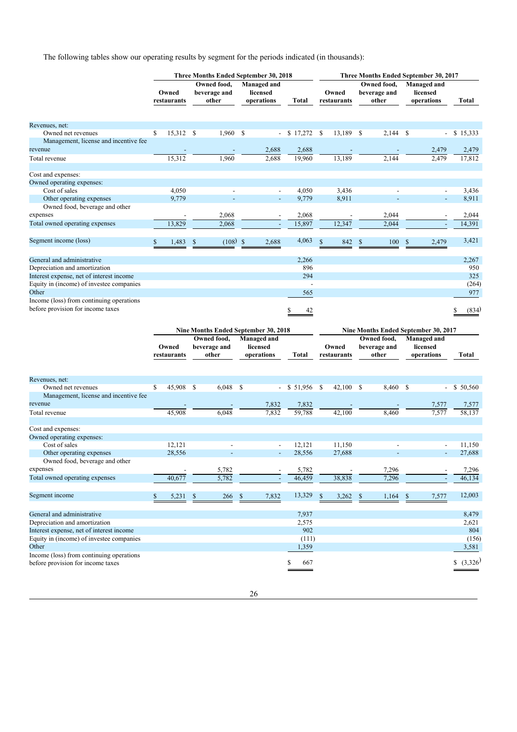The following tables show our operating results by segment for the periods indicated (in thousands):

|                                                                               | Three Months Ended September 30, 2018 |             |               |            |                                                            |                |                        | Three Months Ended September 30, 2017 |                             |                                                     |                            |  |  |  |  |
|-------------------------------------------------------------------------------|---------------------------------------|-------------|---------------|------------|------------------------------------------------------------|----------------|------------------------|---------------------------------------|-----------------------------|-----------------------------------------------------|----------------------------|--|--|--|--|
|                                                                               |                                       |             | Owned food,   |            | Managed and                                                |                |                        | Managed and                           |                             |                                                     |                            |  |  |  |  |
|                                                                               |                                       | Owned       | beverage and  |            | licensed                                                   |                | Owned                  |                                       | Owned food,<br>beverage and | licensed                                            |                            |  |  |  |  |
|                                                                               |                                       | restaurants | other         |            | operations                                                 | Total          | restaurants            |                                       | other                       | operations                                          | Total                      |  |  |  |  |
|                                                                               |                                       |             |               |            |                                                            |                |                        |                                       |                             |                                                     |                            |  |  |  |  |
|                                                                               |                                       |             |               |            |                                                            |                |                        |                                       |                             |                                                     |                            |  |  |  |  |
| Revenues, net:                                                                |                                       |             |               |            |                                                            |                |                        |                                       |                             |                                                     |                            |  |  |  |  |
| Owned net revenues                                                            | \$                                    | 15,312      | \$            | 1,960      | \$<br>$\overline{\phantom{a}}$                             | \$17,272       | 13,189<br>\$           | - \$                                  | 2,144                       | \$                                                  | \$15,333<br>$\blacksquare$ |  |  |  |  |
| Management, license and incentive fee                                         |                                       |             |               |            |                                                            |                |                        |                                       |                             |                                                     |                            |  |  |  |  |
| revenue                                                                       |                                       |             |               |            | 2,688                                                      | 2,688          |                        |                                       |                             | 2,479                                               | 2,479                      |  |  |  |  |
| Total revenue                                                                 |                                       | 15,312      |               | 1,960      | 2.688                                                      | 19,960         | 13,189                 |                                       | 2,144                       |                                                     | 2.479<br>17,812            |  |  |  |  |
| Cost and expenses:                                                            |                                       |             |               |            |                                                            |                |                        |                                       |                             |                                                     |                            |  |  |  |  |
| Owned operating expenses:                                                     |                                       |             |               |            |                                                            |                |                        |                                       |                             |                                                     |                            |  |  |  |  |
| Cost of sales                                                                 |                                       | 4,050       |               |            |                                                            | 4,050          | 3,436                  |                                       |                             |                                                     | 3,436                      |  |  |  |  |
| Other operating expenses                                                      |                                       | 9,779       |               |            |                                                            | 9,779          | 8,911                  |                                       |                             |                                                     | 8,911<br>$\blacksquare$    |  |  |  |  |
| Owned food, beverage and other                                                |                                       |             |               |            |                                                            |                |                        |                                       |                             |                                                     |                            |  |  |  |  |
| expenses                                                                      |                                       |             |               |            |                                                            |                |                        |                                       | 2,044                       |                                                     |                            |  |  |  |  |
|                                                                               |                                       |             |               | 2,068      |                                                            | 2,068          |                        |                                       |                             |                                                     | 2,044                      |  |  |  |  |
| Total owned operating expenses                                                |                                       | 13,829      |               | 2,068      |                                                            | 15,897         | 12,347                 |                                       | 2,044                       |                                                     | 14,391                     |  |  |  |  |
| Segment income (loss)                                                         | \$                                    | 1,483       | \$            | (108)      | $\mathcal{S}$<br>2,688                                     | 4,063          | $\mathcal{S}$<br>842   | <sup>\$</sup>                         | 100                         | $\mathcal{S}$                                       | 3,421<br>2,479             |  |  |  |  |
| General and administrative                                                    |                                       |             |               |            |                                                            | 2,266          |                        |                                       |                             |                                                     | 2,267                      |  |  |  |  |
| Depreciation and amortization                                                 |                                       |             |               |            |                                                            | 896            |                        |                                       |                             |                                                     | 950                        |  |  |  |  |
| Interest expense, net of interest income                                      |                                       |             |               |            |                                                            | 294            |                        |                                       |                             |                                                     | 325                        |  |  |  |  |
|                                                                               |                                       |             |               |            |                                                            |                |                        |                                       |                             |                                                     |                            |  |  |  |  |
| Equity in (income) of investee companies<br>Other                             |                                       |             |               |            |                                                            | $\overline{a}$ |                        |                                       |                             |                                                     | (264)                      |  |  |  |  |
|                                                                               |                                       |             |               |            |                                                            | 565            |                        |                                       |                             |                                                     | 977                        |  |  |  |  |
| Income (loss) from continuing operations<br>before provision for income taxes |                                       |             |               |            |                                                            | 42<br>\$       |                        |                                       |                             |                                                     | (834)                      |  |  |  |  |
|                                                                               |                                       |             |               |            |                                                            |                |                        |                                       |                             |                                                     |                            |  |  |  |  |
|                                                                               |                                       |             | Owned food,   |            | <b>Nine Months Ended September 30, 2018</b><br>Managed and |                |                        |                                       | Owned food,                 | Nine Months Ended September 30, 2017<br>Managed and |                            |  |  |  |  |
|                                                                               |                                       | Owned       |               |            | licensed                                                   |                | Owned                  |                                       | beverage and                | licensed                                            |                            |  |  |  |  |
|                                                                               |                                       |             |               |            |                                                            |                |                        |                                       |                             |                                                     |                            |  |  |  |  |
|                                                                               |                                       |             | beverage and  |            |                                                            |                |                        |                                       |                             |                                                     |                            |  |  |  |  |
|                                                                               |                                       | restaurants | other         |            | operations                                                 | <b>Total</b>   | restaurants            |                                       | other                       | operations                                          | Total                      |  |  |  |  |
|                                                                               |                                       |             |               |            |                                                            |                |                        |                                       |                             |                                                     |                            |  |  |  |  |
| Revenues, net:                                                                |                                       |             |               |            |                                                            |                |                        |                                       |                             |                                                     |                            |  |  |  |  |
| Owned net revenues                                                            | \$                                    | 45,908      | <sup>\$</sup> | $6,048$ \$ | $\overline{\phantom{a}}$                                   | \$51,956       | $42,100$ \$<br>-S      |                                       | 8,460                       | \$                                                  | \$50,560                   |  |  |  |  |
| Management, license and incentive fee                                         |                                       |             |               |            |                                                            |                |                        |                                       |                             |                                                     |                            |  |  |  |  |
| revenue                                                                       |                                       |             |               |            | 7,832                                                      | 7,832          |                        |                                       |                             | 7,577                                               | 7,577                      |  |  |  |  |
| Total revenue                                                                 |                                       | 45,908      |               | 6,048      | 7,832                                                      | 59,788         | 42,100                 |                                       | 8,460                       | 7,577                                               | 58,137                     |  |  |  |  |
|                                                                               |                                       |             |               |            |                                                            |                |                        |                                       |                             |                                                     |                            |  |  |  |  |
| Cost and expenses:                                                            |                                       |             |               |            |                                                            |                |                        |                                       |                             |                                                     |                            |  |  |  |  |
| Owned operating expenses:                                                     |                                       |             |               |            |                                                            |                |                        |                                       |                             |                                                     |                            |  |  |  |  |
| Cost of sales                                                                 |                                       | 12,121      |               |            |                                                            | 12,121         | 11,150                 |                                       |                             |                                                     | 11,150                     |  |  |  |  |
| Other operating expenses                                                      |                                       | 28,556      |               |            |                                                            | 28,556         | 27,688                 |                                       |                             |                                                     | 27,688                     |  |  |  |  |
| Owned food, beverage and other                                                |                                       |             |               |            |                                                            |                |                        |                                       |                             |                                                     |                            |  |  |  |  |
| expenses                                                                      |                                       |             |               | 5,782      |                                                            | 5,782          |                        |                                       | 7,296                       |                                                     | 7,296                      |  |  |  |  |
| Total owned operating expenses                                                |                                       | 40,677      |               | 5,782      |                                                            | 46,459         | 38,838                 |                                       | 7,296                       |                                                     | 46,134                     |  |  |  |  |
| Segment income                                                                | \$                                    | 5,231       | $\mathbb{S}$  | 266        | $\mathbb{S}$<br>7,832                                      | 13,329         | $\mathsf{\$}$<br>3,262 | <sup>\$</sup>                         | 1,164                       | 7,577<br>\$                                         | 12,003                     |  |  |  |  |
|                                                                               |                                       |             |               |            |                                                            |                |                        |                                       |                             |                                                     |                            |  |  |  |  |
| General and administrative                                                    |                                       |             |               |            |                                                            | 7,937          |                        |                                       |                             |                                                     | 8,479                      |  |  |  |  |
| Depreciation and amortization                                                 |                                       |             |               |            |                                                            | 2,575          |                        |                                       |                             |                                                     | 2,621                      |  |  |  |  |
| Interest expense, net of interest income                                      |                                       |             |               |            |                                                            | 902            |                        |                                       |                             |                                                     | 804                        |  |  |  |  |
| Equity in (income) of investee companies                                      |                                       |             |               |            |                                                            | (111)          |                        |                                       |                             |                                                     | (156)                      |  |  |  |  |
| Other                                                                         |                                       |             |               |            |                                                            | 1,359          |                        |                                       |                             |                                                     | 3,581                      |  |  |  |  |
| Income (loss) from continuing operations<br>before provision for income taxes |                                       |             |               |            |                                                            | \$<br>667      |                        |                                       |                             |                                                     | $$^{(3,326)}$              |  |  |  |  |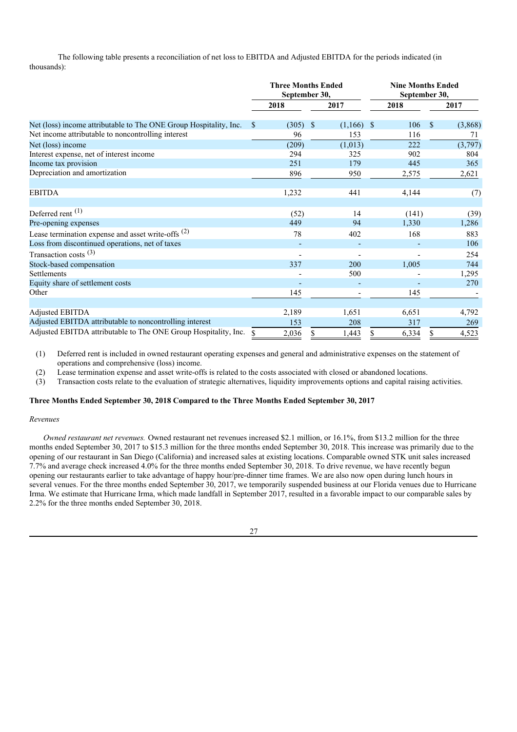The following table presents a reconciliation of net loss to EBITDA and Adjusted EBITDA for the periods indicated (in thousands):

|                                                                   | <b>Three Months Ended</b><br>September 30, |       |    | <b>Nine Months Ended</b><br>September 30, |               |       |    |         |
|-------------------------------------------------------------------|--------------------------------------------|-------|----|-------------------------------------------|---------------|-------|----|---------|
|                                                                   |                                            | 2018  |    | 2017                                      |               | 2018  |    | 2017    |
| Net (loss) income attributable to The ONE Group Hospitality, Inc. | \$                                         | (305) | \$ | (1,166)                                   | $\mathcal{S}$ | 106   | \$ | (3,868) |
| Net income attributable to noncontrolling interest                |                                            | 96    |    | 153                                       |               | 116   |    | 71      |
| Net (loss) income                                                 |                                            | (209) |    | (1,013)                                   |               | 222   |    | (3,797) |
| Interest expense, net of interest income                          |                                            | 294   |    | 325                                       |               | 902   |    | 804     |
| Income tax provision                                              |                                            | 251   |    | 179                                       |               | 445   |    | 365     |
| Depreciation and amortization                                     |                                            | 896   |    | 950                                       |               | 2,575 |    | 2,621   |
| <b>EBITDA</b>                                                     |                                            | 1,232 |    | 441                                       |               | 4,144 |    | (7)     |
| Deferred rent <sup>(1)</sup>                                      |                                            | (52)  |    | 14                                        |               | (141) |    | (39)    |
| Pre-opening expenses                                              |                                            | 449   |    | 94                                        |               | 1,330 |    | 1,286   |
| Lease termination expense and asset write-offs $(2)$              |                                            | 78    |    | 402                                       |               | 168   |    | 883     |
| Loss from discontinued operations, net of taxes                   |                                            |       |    | $\overline{a}$                            |               |       |    | 106     |
| Transaction costs $(3)$                                           |                                            |       |    |                                           |               |       |    | 254     |
| Stock-based compensation                                          |                                            | 337   |    | 200                                       |               | 1,005 |    | 744     |
| Settlements                                                       |                                            |       |    | 500                                       |               |       |    | 1,295   |
| Equity share of settlement costs                                  |                                            |       |    |                                           |               |       |    | 270     |
| Other                                                             |                                            | 145   |    |                                           |               | 145   |    |         |
| Adjusted EBITDA                                                   |                                            | 2,189 |    | 1,651                                     |               | 6,651 |    | 4,792   |
| Adjusted EBITDA attributable to noncontrolling interest           |                                            | 153   |    | 208                                       |               | 317   |    | 269     |
| Adjusted EBITDA attributable to The ONE Group Hospitality, Inc.   | \$                                         | 2,036 | S  | 1,443                                     | S             | 6,334 | \$ | 4,523   |

(1) Deferred rent is included in owned restaurant operating expenses and general and administrative expenses on the statement of operations and comprehensive (loss) income.

(2) Lease termination expense and asset write-offs is related to the costs associated with closed or abandoned locations.

(3) Transaction costs relate to the evaluation of strategic alternatives, liquidity improvements options and capital raising activities.

#### **Three Months Ended September 30, 2018 Compared to the Three Months Ended September 30, 2017**

#### *Revenues*

*Owned restaurant net revenues.* Owned restaurant net revenues increased \$2.1 million, or 16.1%, from \$13.2 million for the three months ended September 30, 2017 to \$15.3 million for the three months ended September 30, 2018. This increase was primarily due to the opening of our restaurant in San Diego (California) and increased sales at existing locations. Comparable owned STK unit sales increased 7.7% and average check increased 4.0% for the three months ended September 30, 2018. To drive revenue, we have recently begun opening our restaurants earlier to take advantage of happy hour/pre-dinner time frames. We are also now open during lunch hours in several venues. For the three months ended September 30, 2017, we temporarily suspended business at our Florida venues due to Hurricane Irma. We estimate that Hurricane Irma, which made landfall in September 2017, resulted in a favorable impact to our comparable sales by 2.2% for the three months ended September 30, 2018.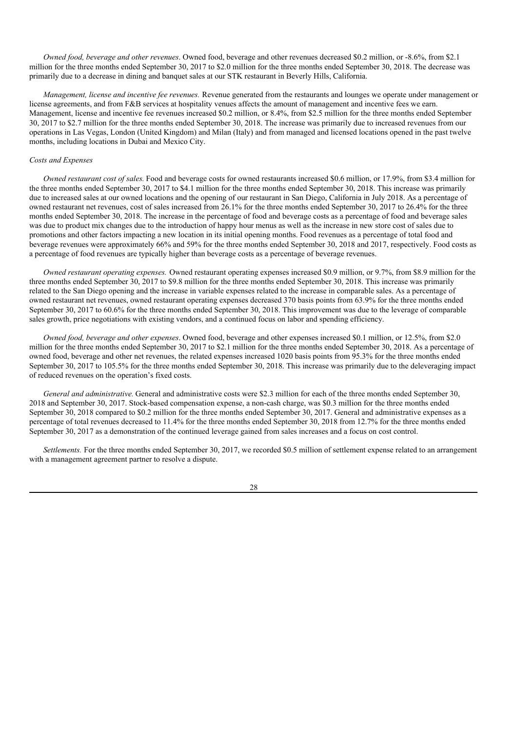*Owned food, beverage and other revenues*. Owned food, beverage and other revenues decreased \$0.2 million, or -8.6%, from \$2.1 million for the three months ended September 30, 2017 to \$2.0 million for the three months ended September 30, 2018. The decrease was primarily due to a decrease in dining and banquet sales at our STK restaurant in Beverly Hills, California.

*Management, license and incentive fee revenues.* Revenue generated from the restaurants and lounges we operate under management or license agreements, and from F&B services at hospitality venues affects the amount of management and incentive fees we earn. Management, license and incentive fee revenues increased \$0.2 million, or 8.4%, from \$2.5 million for the three months ended September 30, 2017 to \$2.7 million for the three months ended September 30, 2018. The increase was primarily due to increased revenues from our operations in Las Vegas, London (United Kingdom) and Milan (Italy) and from managed and licensed locations opened in the past twelve months, including locations in Dubai and Mexico City.

### *Costs and Expenses*

*Owned restaurant cost of sales.* Food and beverage costs for owned restaurants increased \$0.6 million, or 17.9%, from \$3.4 million for the three months ended September 30, 2017 to \$4.1 million for the three months ended September 30, 2018. This increase was primarily due to increased sales at our owned locations and the opening of our restaurant in San Diego, California in July 2018. As a percentage of owned restaurant net revenues, cost of sales increased from 26.1% for the three months ended September 30, 2017 to 26.4% for the three months ended September 30, 2018. The increase in the percentage of food and beverage costs as a percentage of food and beverage sales was due to product mix changes due to the introduction of happy hour menus as well as the increase in new store cost of sales due to promotions and other factors impacting a new location in its initial opening months. Food revenues as a percentage of total food and beverage revenues were approximately 66% and 59% for the three months ended September 30, 2018 and 2017, respectively. Food costs as a percentage of food revenues are typically higher than beverage costs as a percentage of beverage revenues.

*Owned restaurant operating expenses.* Owned restaurant operating expenses increased \$0.9 million, or 9.7%, from \$8.9 million for the three months ended September 30, 2017 to \$9.8 million for the three months ended September 30, 2018. This increase was primarily related to the San Diego opening and the increase in variable expenses related to the increase in comparable sales. As a percentage of owned restaurant net revenues, owned restaurant operating expenses decreased 370 basis points from 63.9% for the three months ended September 30, 2017 to 60.6% for the three months ended September 30, 2018. This improvement was due to the leverage of comparable sales growth, price negotiations with existing vendors, and a continued focus on labor and spending efficiency.

*Owned food, beverage and other expenses*. Owned food, beverage and other expenses increased \$0.1 million, or 12.5%, from \$2.0 million for the three months ended September 30, 2017 to \$2.1 million for the three months ended September 30, 2018. As a percentage of owned food, beverage and other net revenues, the related expenses increased 1020 basis points from 95.3% for the three months ended September 30, 2017 to 105.5% for the three months ended September 30, 2018. This increase was primarily due to the deleveraging impact of reduced revenues on the operation's fixed costs.

*General and administrative.* General and administrative costs were \$2.3 million for each of the three months ended September 30, 2018 and September 30, 2017. Stock-based compensation expense, a non-cash charge, was \$0.3 million for the three months ended September 30, 2018 compared to \$0.2 million for the three months ended September 30, 2017. General and administrative expenses as a percentage of total revenues decreased to 11.4% for the three months ended September 30, 2018 from 12.7% for the three months ended September 30, 2017 as a demonstration of the continued leverage gained from sales increases and a focus on cost control.

*Settlements.* For the three months ended September 30, 2017, we recorded \$0.5 million of settlement expense related to an arrangement with a management agreement partner to resolve a dispute.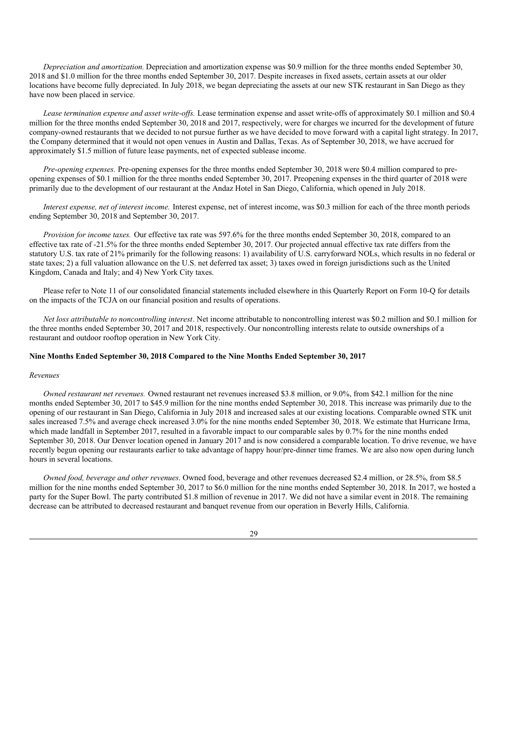*Depreciation and amortization.* Depreciation and amortization expense was \$0.9 million for the three months ended September 30, 2018 and \$1.0 million for the three months ended September 30, 2017. Despite increases in fixed assets, certain assets at our older locations have become fully depreciated. In July 2018, we began depreciating the assets at our new STK restaurant in San Diego as they have now been placed in service.

*Lease termination expense and asset write-of s.* Lease termination expense and asset write-offs of approximately \$0.1 million and \$0.4 million for the three months ended September 30, 2018 and 2017, respectively, were for charges we incurred for the development of future company-owned restaurants that we decided to not pursue further as we have decided to move forward with a capital light strategy. In 2017, the Company determined that it would not open venues in Austin and Dallas, Texas. As of September 30, 2018, we have accrued for approximately \$1.5 million of future lease payments, net of expected sublease income.

*Pre-opening expenses.* Pre-opening expenses for the three months ended September 30, 2018 were \$0.4 million compared to preopening expenses of \$0.1 million for the three months ended September 30, 2017. Preopening expenses in the third quarter of 2018 were primarily due to the development of our restaurant at the Andaz Hotel in San Diego, California, which opened in July 2018.

*Interest expense, net of interest income.* Interest expense, net of interest income, was \$0.3 million for each of the three month periods ending September 30, 2018 and September 30, 2017.

*Provision for income taxes.* Our effective tax rate was 597.6% for the three months ended September 30, 2018, compared to an effective tax rate of -21.5% for the three months ended September 30, 2017. Our projected annual effective tax rate differs from the statutory U.S. tax rate of 21% primarily for the following reasons: 1) availability of U.S. carryforward NOLs, which results in no federal or state taxes; 2) a full valuation allowance on the U.S. net deferred tax asset; 3) taxes owed in foreign jurisdictions such as the United Kingdom, Canada and Italy; and 4) New York City taxes.

Please refer to Note 11 of our consolidated financial statements included elsewhere in this Quarterly Report on Form 10-Q for details on the impacts of the TCJA on our financial position and results of operations.

*Net loss attributable to noncontrolling interest*. Net income attributable to noncontrolling interest was \$0.2 million and \$0.1 million for the three months ended September 30, 2017 and 2018, respectively. Our noncontrolling interests relate to outside ownerships of a restaurant and outdoor rooftop operation in New York City.

## **Nine Months Ended September 30, 2018 Compared to the Nine Months Ended September 30, 2017**

#### *Revenues*

*Owned restaurant net revenues.* Owned restaurant net revenues increased \$3.8 million, or 9.0%, from \$42.1 million for the nine months ended September 30, 2017 to \$45.9 million for the nine months ended September 30, 2018. This increase was primarily due to the opening of our restaurant in San Diego, California in July 2018 and increased sales at our existing locations. Comparable owned STK unit sales increased 7.5% and average check increased 3.0% for the nine months ended September 30, 2018. We estimate that Hurricane Irma, which made landfall in September 2017, resulted in a favorable impact to our comparable sales by 0.7% for the nine months ended September 30, 2018. Our Denver location opened in January 2017 and is now considered a comparable location. To drive revenue, we have recently begun opening our restaurants earlier to take advantage of happy hour/pre-dinner time frames. We are also now open during lunch hours in several locations.

*Owned food, beverage and other revenues*. Owned food, beverage and other revenues decreased \$2.4 million, or 28.5%, from \$8.5 million for the nine months ended September 30, 2017 to \$6.0 million for the nine months ended September 30, 2018. In 2017, we hosted a party for the Super Bowl. The party contributed \$1.8 million of revenue in 2017. We did not have a similar event in 2018. The remaining decrease can be attributed to decreased restaurant and banquet revenue from our operation in Beverly Hills, California.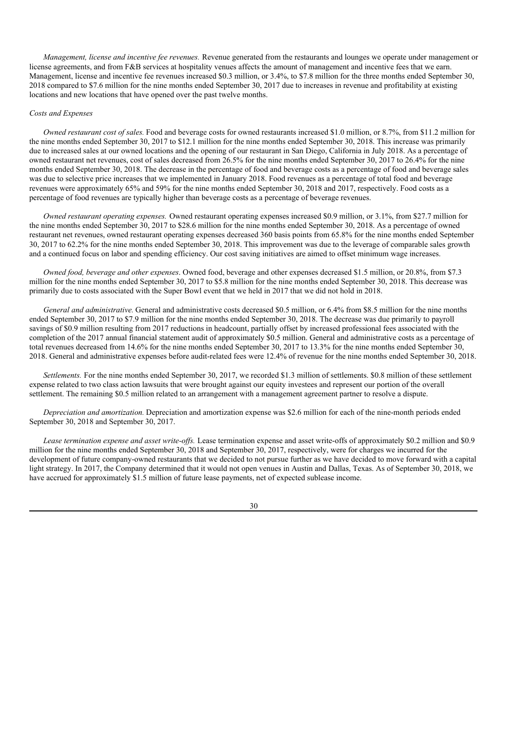*Management, license and incentive fee revenues.* Revenue generated from the restaurants and lounges we operate under management or license agreements, and from F&B services at hospitality venues affects the amount of management and incentive fees that we earn. Management, license and incentive fee revenues increased \$0.3 million, or 3.4%, to \$7.8 million for the three months ended September 30, 2018 compared to \$7.6 million for the nine months ended September 30, 2017 due to increases in revenue and profitability at existing locations and new locations that have opened over the past twelve months.

## *Costs and Expenses*

*Owned restaurant cost of sales.* Food and beverage costs for owned restaurants increased \$1.0 million, or 8.7%, from \$11.2 million for the nine months ended September 30, 2017 to \$12.1 million for the nine months ended September 30, 2018. This increase was primarily due to increased sales at our owned locations and the opening of our restaurant in San Diego, California in July 2018. As a percentage of owned restaurant net revenues, cost of sales decreased from 26.5% for the nine months ended September 30, 2017 to 26.4% for the nine months ended September 30, 2018. The decrease in the percentage of food and beverage costs as a percentage of food and beverage sales was due to selective price increases that we implemented in January 2018. Food revenues as a percentage of total food and beverage revenues were approximately 65% and 59% for the nine months ended September 30, 2018 and 2017, respectively. Food costs as a percentage of food revenues are typically higher than beverage costs as a percentage of beverage revenues.

*Owned restaurant operating expenses.* Owned restaurant operating expenses increased \$0.9 million, or 3.1%, from \$27.7 million for the nine months ended September 30, 2017 to \$28.6 million for the nine months ended September 30, 2018. As a percentage of owned restaurant net revenues, owned restaurant operating expenses decreased 360 basis points from 65.8% for the nine months ended September 30, 2017 to 62.2% for the nine months ended September 30, 2018. This improvement was due to the leverage of comparable sales growth and a continued focus on labor and spending efficiency. Our cost saving initiatives are aimed to offset minimum wage increases.

*Owned food, beverage and other expenses*. Owned food, beverage and other expenses decreased \$1.5 million, or 20.8%, from \$7.3 million for the nine months ended September 30, 2017 to \$5.8 million for the nine months ended September 30, 2018. This decrease was primarily due to costs associated with the Super Bowl event that we held in 2017 that we did not hold in 2018.

*General and administrative.* General and administrative costs decreased \$0.5 million, or 6.4% from \$8.5 million for the nine months ended September 30, 2017 to \$7.9 million for the nine months ended September 30, 2018. The decrease was due primarily to payroll savings of \$0.9 million resulting from 2017 reductions in headcount, partially offset by increased professional fees associated with the completion of the 2017 annual financial statement audit of approximately \$0.5 million. General and administrative costs as a percentage of total revenues decreased from 14.6% for the nine months ended September 30, 2017 to 13.3% for the nine months ended September 30, 2018. General and administrative expenses before audit-related fees were 12.4% of revenue for the nine months ended September 30, 2018.

*Settlements.* For the nine months ended September 30, 2017, we recorded \$1.3 million of settlements. \$0.8 million of these settlement expense related to two class action lawsuits that were brought against our equity investees and represent our portion of the overall settlement. The remaining \$0.5 million related to an arrangement with a management agreement partner to resolve a dispute.

*Depreciation and amortization.* Depreciation and amortization expense was \$2.6 million for each of the nine-month periods ended September 30, 2018 and September 30, 2017.

*Lease termination expense and asset write-of s.* Lease termination expense and asset write-offs of approximately \$0.2 million and \$0.9 million for the nine months ended September 30, 2018 and September 30, 2017, respectively, were for charges we incurred for the development of future company-owned restaurants that we decided to not pursue further as we have decided to move forward with a capital light strategy. In 2017, the Company determined that it would not open venues in Austin and Dallas, Texas. As of September 30, 2018, we have accrued for approximately \$1.5 million of future lease payments, net of expected sublease income.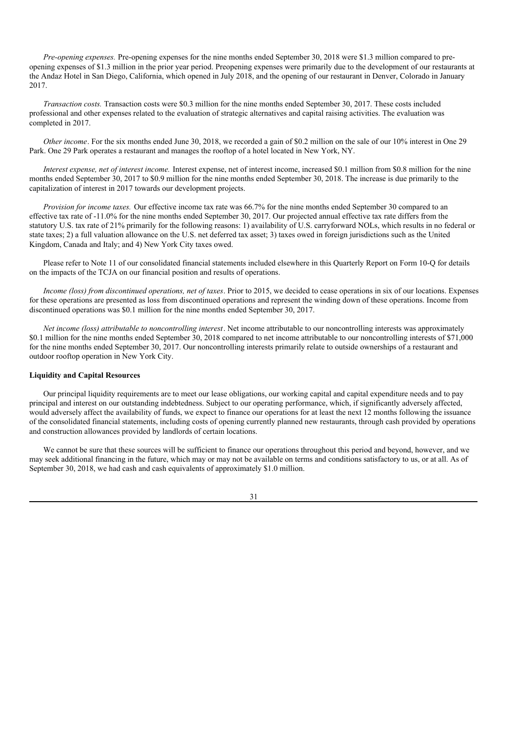*Pre-opening expenses.* Pre-opening expenses for the nine months ended September 30, 2018 were \$1.3 million compared to preopening expenses of \$1.3 million in the prior year period. Preopening expenses were primarily due to the development of our restaurants at the Andaz Hotel in San Diego, California, which opened in July 2018, and the opening of our restaurant in Denver, Colorado in January 2017.

*Transaction costs.* Transaction costs were \$0.3 million for the nine months ended September 30, 2017. These costs included professional and other expenses related to the evaluation of strategic alternatives and capital raising activities. The evaluation was completed in 2017.

*Other income*. For the six months ended June 30, 2018, we recorded a gain of \$0.2 million on the sale of our 10% interest in One 29 Park. One 29 Park operates a restaurant and manages the rooftop of a hotel located in New York, NY.

*Interest expense, net of interest income.* Interest expense, net of interest income, increased \$0.1 million from \$0.8 million for the nine months ended September 30, 2017 to \$0.9 million for the nine months ended September 30, 2018. The increase is due primarily to the capitalization of interest in 2017 towards our development projects.

*Provision for income taxes.* Our effective income tax rate was 66.7% for the nine months ended September 30 compared to an effective tax rate of -11.0% for the nine months ended September 30, 2017. Our projected annual effective tax rate differs from the statutory U.S. tax rate of 21% primarily for the following reasons: 1) availability of U.S. carryforward NOLs, which results in no federal or state taxes; 2) a full valuation allowance on the U.S. net deferred tax asset; 3) taxes owed in foreign jurisdictions such as the United Kingdom, Canada and Italy; and 4) New York City taxes owed.

Please refer to Note 11 of our consolidated financial statements included elsewhere in this Quarterly Report on Form 10-Q for details on the impacts of the TCJA on our financial position and results of operations.

*Income (loss) from discontinued operations, net of taxes*. Prior to 2015, we decided to cease operations in six of our locations. Expenses for these operations are presented as loss from discontinued operations and represent the winding down of these operations. Income from discontinued operations was \$0.1 million for the nine months ended September 30, 2017.

*Net income (loss) attributable to noncontrolling interest*. Net income attributable to our noncontrolling interests was approximately \$0.1 million for the nine months ended September 30, 2018 compared to net income attributable to our noncontrolling interests of \$71,000 for the nine months ended September 30, 2017. Our noncontrolling interests primarily relate to outside ownerships of a restaurant and outdoor rooftop operation in New York City.

## **Liquidity and Capital Resources**

Our principal liquidity requirements are to meet our lease obligations, our working capital and capital expenditure needs and to pay principal and interest on our outstanding indebtedness. Subject to our operating performance, which, if significantly adversely affected, would adversely affect the availability of funds, we expect to finance our operations for at least the next 12 months following the issuance of the consolidated financial statements, including costs of opening currently planned new restaurants, through cash provided by operations and construction allowances provided by landlords of certain locations.

We cannot be sure that these sources will be sufficient to finance our operations throughout this period and beyond, however, and we may seek additional financing in the future, which may or may not be available on terms and conditions satisfactory to us, or at all. As of September 30, 2018, we had cash and cash equivalents of approximately \$1.0 million.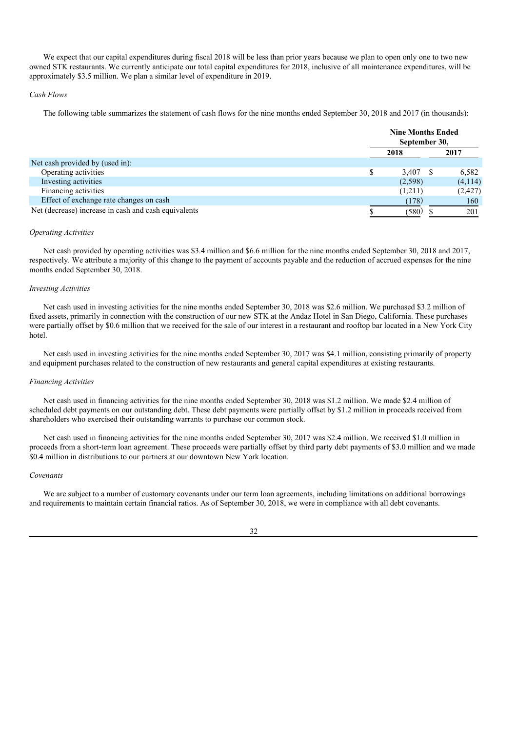We expect that our capital expenditures during fiscal 2018 will be less than prior years because we plan to open only one to two new owned STK restaurants. We currently anticipate our total capital expenditures for 2018, inclusive of all maintenance expenditures, will be approximately \$3.5 million. We plan a similar level of expenditure in 2019.

### *Cash Flows*

The following table summarizes the statement of cash flows for the nine months ended September 30, 2018 and 2017 (in thousands):

|                                                      | <b>Nine Months Ended</b><br>September 30, |  |          |  |
|------------------------------------------------------|-------------------------------------------|--|----------|--|
|                                                      | 2018                                      |  | 2017     |  |
| Net cash provided by (used in):                      |                                           |  |          |  |
| Operating activities                                 | 3.407                                     |  | 6,582    |  |
| Investing activities                                 | (2,598)                                   |  | (4, 114) |  |
| Financing activities                                 | (1,211)                                   |  | (2, 427) |  |
| Effect of exchange rate changes on cash              | (178)                                     |  | 160      |  |
| Net (decrease) increase in cash and cash equivalents | (580)                                     |  | 201      |  |

## *Operating Activities*

Net cash provided by operating activities was \$3.4 million and \$6.6 million for the nine months ended September 30, 2018 and 2017, respectively. We attribute a majority of this change to the payment of accounts payable and the reduction of accrued expenses for the nine months ended September 30, 2018.

#### *Investing Activities*

Net cash used in investing activities for the nine months ended September 30, 2018 was \$2.6 million. We purchased \$3.2 million of fixed assets, primarily in connection with the construction of our new STK at the Andaz Hotel in San Diego, California. These purchases were partially offset by \$0.6 million that we received for the sale of our interest in a restaurant and rooftop bar located in a New York City hotel.

Net cash used in investing activities for the nine months ended September 30, 2017 was \$4.1 million, consisting primarily of property and equipment purchases related to the construction of new restaurants and general capital expenditures at existing restaurants.

#### *Financing Activities*

Net cash used in financing activities for the nine months ended September 30, 2018 was \$1.2 million. We made \$2.4 million of scheduled debt payments on our outstanding debt. These debt payments were partially offset by \$1.2 million in proceeds received from shareholders who exercised their outstanding warrants to purchase our common stock.

Net cash used in financing activities for the nine months ended September 30, 2017 was \$2.4 million. We received \$1.0 million in proceeds from a short-term loan agreement. These proceeds were partially offset by third party debt payments of \$3.0 million and we made \$0.4 million in distributions to our partners at our downtown New York location.

#### *Covenants*

We are subject to a number of customary covenants under our term loan agreements, including limitations on additional borrowings and requirements to maintain certain financial ratios. As of September 30, 2018, we were in compliance with all debt covenants.

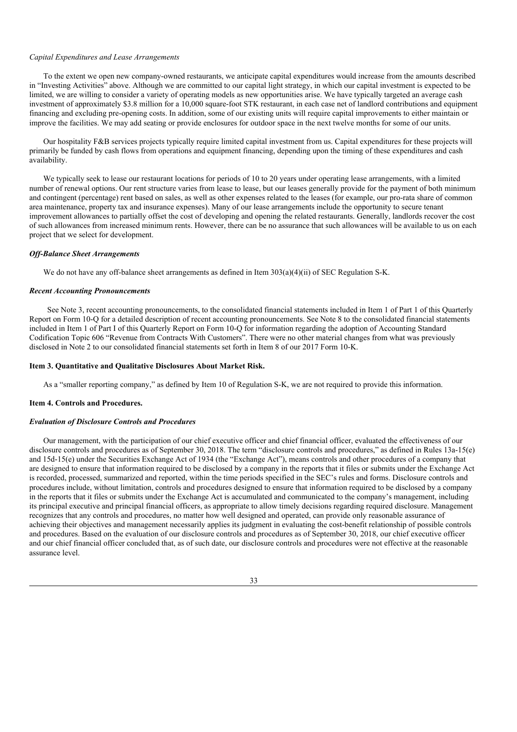#### *Capital Expenditures and Lease Arrangements*

To the extent we open new company-owned restaurants, we anticipate capital expenditures would increase from the amounts described in "Investing Activities" above. Although we are committed to our capital light strategy, in which our capital investment is expected to be limited, we are willing to consider a variety of operating models as new opportunities arise. We have typically targeted an average cash investment of approximately \$3.8 million for a 10,000 square-foot STK restaurant, in each case net of landlord contributions and equipment financing and excluding pre-opening costs. In addition, some of our existing units will require capital improvements to either maintain or improve the facilities. We may add seating or provide enclosures for outdoor space in the next twelve months for some of our units.

Our hospitality F&B services projects typically require limited capital investment from us. Capital expenditures for these projects will primarily be funded by cash flows from operations and equipment financing, depending upon the timing of these expenditures and cash availability.

We typically seek to lease our restaurant locations for periods of 10 to 20 years under operating lease arrangements, with a limited number of renewal options. Our rent structure varies from lease to lease, but our leases generally provide for the payment of both minimum and contingent (percentage) rent based on sales, as well as other expenses related to the leases (for example, our pro-rata share of common area maintenance, property tax and insurance expenses). Many of our lease arrangements include the opportunity to secure tenant improvement allowances to partially offset the cost of developing and opening the related restaurants. Generally, landlords recover the cost of such allowances from increased minimum rents. However, there can be no assurance that such allowances will be available to us on each project that we select for development.

### *Of -Balance Sheet Arrangements*

We do not have any off-balance sheet arrangements as defined in Item 303(a)(4)(ii) of SEC Regulation S-K.

#### *Recent Accounting Pronouncements*

See Note 3, recent accounting pronouncements, to the consolidated financial statements included in Item 1 of Part 1 of this Quarterly Report on Form 10-Q for a detailed description of recent accounting pronouncements. See Note 8 to the consolidated financial statements included in Item 1 of Part I of this Quarterly Report on Form 10-Q for information regarding the adoption of Accounting Standard Codification Topic 606 "Revenue from Contracts With Customers". There were no other material changes from what was previously disclosed in Note 2 to our consolidated financial statements set forth in Item 8 of our 2017 Form 10-K.

#### **Item 3. Quantitative and Qualitative Disclosures About Market Risk.**

As a "smaller reporting company," as defined by Item 10 of Regulation S-K, we are not required to provide this information.

### **Item 4. Controls and Procedures.**

### *Evaluation of Disclosure Controls and Procedures*

Our management, with the participation of our chief executive officer and chief financial officer, evaluated the effectiveness of our disclosure controls and procedures as of September 30, 2018. The term "disclosure controls and procedures," as defined in Rules 13a-15(e) and 15d-15(e) under the Securities Exchange Act of 1934 (the "Exchange Act"), means controls and other procedures of a company that are designed to ensure that information required to be disclosed by a company in the reports that it files or submits under the Exchange Act is recorded, processed, summarized and reported, within the time periods specified in the SEC's rules and forms. Disclosure controls and procedures include, without limitation, controls and procedures designed to ensure that information required to be disclosed by a company in the reports that it files or submits under the Exchange Act is accumulated and communicated to the company's management, including its principal executive and principal financial officers, as appropriate to allow timely decisions regarding required disclosure. Management recognizes that any controls and procedures, no matter how well designed and operated, can provide only reasonable assurance of achieving their objectives and management necessarily applies its judgment in evaluating the cost-benefit relationship of possible controls and procedures. Based on the evaluation of our disclosure controls and procedures as of September 30, 2018, our chief executive officer and our chief financial officer concluded that, as of such date, our disclosure controls and procedures were not effective at the reasonable assurance level.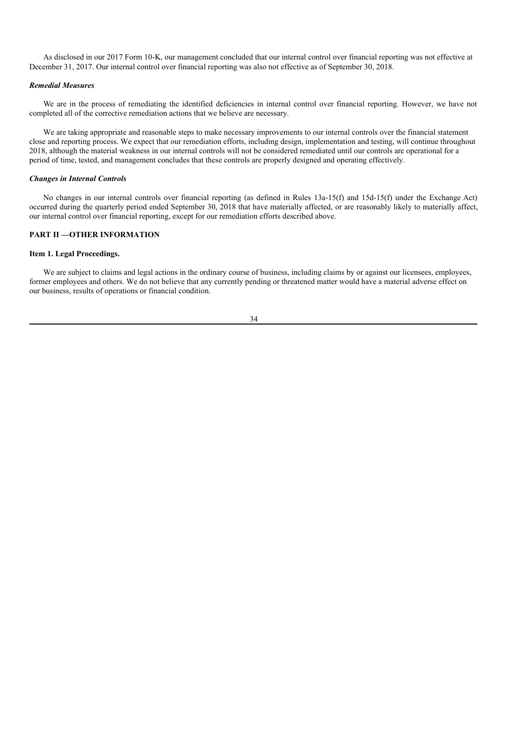As disclosed in our 2017 Form 10-K, our management concluded that our internal control over financial reporting was not effective at December 31, 2017. Our internal control over financial reporting was also not effective as of September 30, 2018.

## *Remedial Measures*

We are in the process of remediating the identified deficiencies in internal control over financial reporting. However, we have not completed all of the corrective remediation actions that we believe are necessary.

We are taking appropriate and reasonable steps to make necessary improvements to our internal controls over the financial statement close and reporting process. We expect that our remediation efforts, including design, implementation and testing, will continue throughout 2018, although the material weakness in our internal controls will not be considered remediated until our controls are operational for a period of time, tested, and management concludes that these controls are properly designed and operating effectively.

#### *Changes in Internal Controls*

No changes in our internal controls over financial reporting (as defined in Rules 13a-15(f) and 15d-15(f) under the Exchange Act) occurred during the quarterly period ended September 30, 2018 that have materially affected, or are reasonably likely to materially affect, our internal control over financial reporting, except for our remediation efforts described above.

## **PART II —OTHER INFORMATION**

## **Item 1. Legal Proceedings.**

We are subject to claims and legal actions in the ordinary course of business, including claims by or against our licensees, employees, former employees and others. We do not believe that any currently pending or threatened matter would have a material adverse effect on our business, results of operations or financial condition.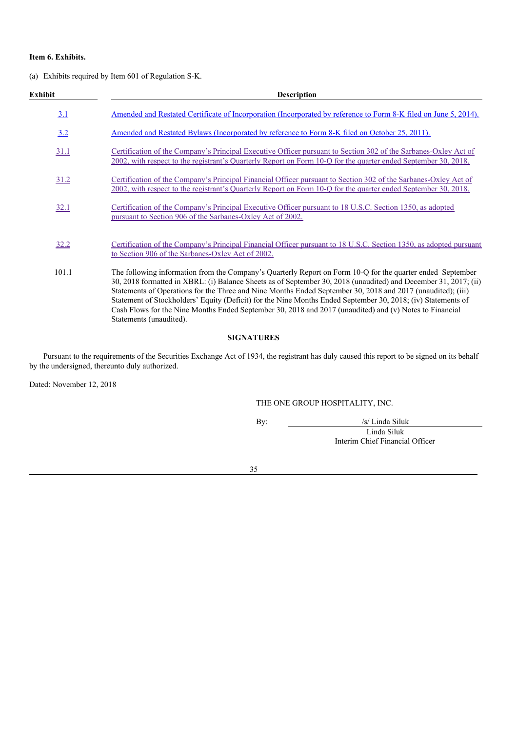## **Item 6. Exhibits.**

(a) Exhibits required by Item 601 of Regulation S-K.

| Exhibit     | <b>Description</b>                                                                                                                                                                                                                                                                                                                                                                                                                                                                                                                                                                                 |
|-------------|----------------------------------------------------------------------------------------------------------------------------------------------------------------------------------------------------------------------------------------------------------------------------------------------------------------------------------------------------------------------------------------------------------------------------------------------------------------------------------------------------------------------------------------------------------------------------------------------------|
| 3.1         | Amended and Restated Certificate of Incorporation (Incorporated by reference to Form 8-K filed on June 5, 2014).                                                                                                                                                                                                                                                                                                                                                                                                                                                                                   |
| 3.2         | <u>Amended and Restated Bylaws (Incorporated by reference to Form 8-K filed on October 25, 2011).</u>                                                                                                                                                                                                                                                                                                                                                                                                                                                                                              |
| 31.1        | Certification of the Company's Principal Executive Officer pursuant to Section 302 of the Sarbanes-Oxley Act of<br>2002, with respect to the registrant's Quarterly Report on Form 10-Q for the quarter ended September 30, 2018.                                                                                                                                                                                                                                                                                                                                                                  |
| 31.2        | Certification of the Company's Principal Financial Officer pursuant to Section 302 of the Sarbanes-Oxley Act of<br>2002, with respect to the registrant's Quarterly Report on Form 10-Q for the quarter ended September 30, 2018.                                                                                                                                                                                                                                                                                                                                                                  |
| <u>32.1</u> | Certification of the Company's Principal Executive Officer pursuant to 18 U.S.C. Section 1350, as adopted<br>pursuant to Section 906 of the Sarbanes-Oxley Act of 2002.                                                                                                                                                                                                                                                                                                                                                                                                                            |
| 32.2        | Certification of the Company's Principal Financial Officer pursuant to 18 U.S.C. Section 1350, as adopted pursuant<br>to Section 906 of the Sarbanes-Oxley Act of 2002.                                                                                                                                                                                                                                                                                                                                                                                                                            |
| 101.1       | The following information from the Company's Quarterly Report on Form 10-Q for the quarter ended September<br>30, 2018 formatted in XBRL: (i) Balance Sheets as of September 30, 2018 (unaudited) and December 31, 2017; (ii)<br>Statements of Operations for the Three and Nine Months Ended September 30, 2018 and 2017 (unaudited); (iii)<br>Statement of Stockholders' Equity (Deficit) for the Nine Months Ended September 30, 2018; (iv) Statements of<br>Cash Flows for the Nine Months Ended September 30, 2018 and 2017 (unaudited) and (v) Notes to Financial<br>Statements (unaudited). |

## **SIGNATURES**

Pursuant to the requirements of the Securities Exchange Act of 1934, the registrant has duly caused this report to be signed on its behalf by the undersigned, thereunto duly authorized.

Dated: November 12, 2018

THE ONE GROUP HOSPITALITY, INC.

By: /s/ Linda Siluk

Linda Siluk Interim Chief Financial Officer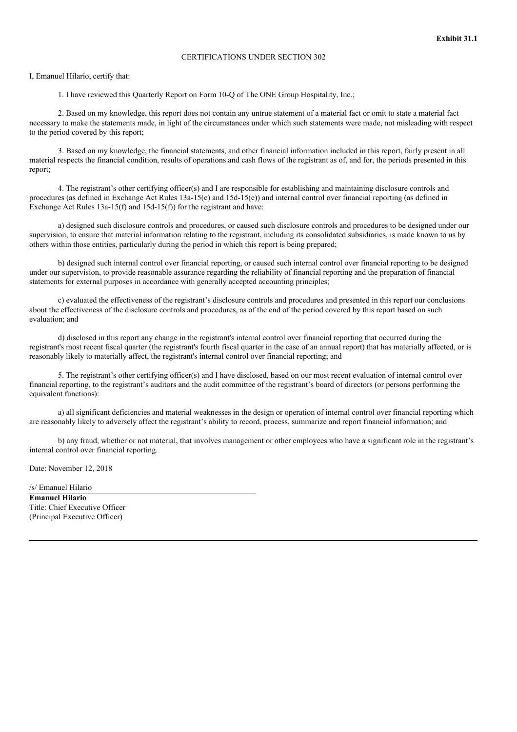I, Emanuel Hilario, certify that:

1. I have reviewed this Quarterly Report on Form 10-Q of The ONE Group Hospitality, Inc.;

2. Based on my knowledge, this report does not contain any untrue statement of a material fact or omit to state a material fact necessary to make the statements made, in light of the circumstances under which such statements were made, not misleading with respect to the period covered by this report;

3. Based on my knowledge, the financial statements, and other financial information included in this report, fairly present in all material respects the financial condition, results of operations and cash flows of the registrant as of, and for, the periods presented in this report;

4. The registrant's other certifying officer(s) and I are responsible for establishing and maintaining disclosure controls and procedures (as defined in Exchange Act Rules 13a-15(e) and 15d-15(e)) and internal control over financial reporting (as defined in Exchange Act Rules 13a-15(f) and 15d-15(f)) for the registrant and have:

a) designed such disclosure controls and procedures, or caused such disclosure controls and procedures to be designed under our supervision, to ensure that material information relating to the registrant, including its consolidated subsidiaries, is made known to us by others within those entities, particularly during the period in which this report is being prepared;

b) designed such internal control over financial reporting, or caused such internal control over financial reporting to be designed under our supervision, to provide reasonable assurance regarding the reliability of financial reporting and the preparation of financial statements for external purposes in accordance with generally accepted accounting principles;

c) evaluated the effectiveness of the registrant's disclosure controls and procedures and presented in this report our conclusions about the effectiveness of the disclosure controls and procedures, as of the end of the period covered by this report based on such evaluation; and

d) disclosed in this report any change in the registrant's internal control over financial reporting that occurred during the registrant's most recent fiscal quarter (the registrant's fourth fiscal quarter in the case of an annual report) that has materially affected, or is reasonably likely to materially affect, the registrant's internal control over financial reporting; and

5. The registrant's other certifying officer(s) and I have disclosed, based on our most recent evaluation of internal control over financial reporting, to the registrant's auditors and the audit committee of the registrant's board of directors (or persons performing the equivalent functions):

a) all significant deficiencies and material weaknesses in the design or operation of internal control over financial reporting which are reasonably likely to adversely affect the registrant's ability to record, process, summarize and report financial information; and

b) any fraud, whether or not material, that involves management or other employees who have a significant role in the registrant's internal control over financial reporting.

Date: November 12, 2018

/s/ Emanuel Hilario **Emanuel Hilario** Title: Chief Executive Officer (Principal Executive Officer)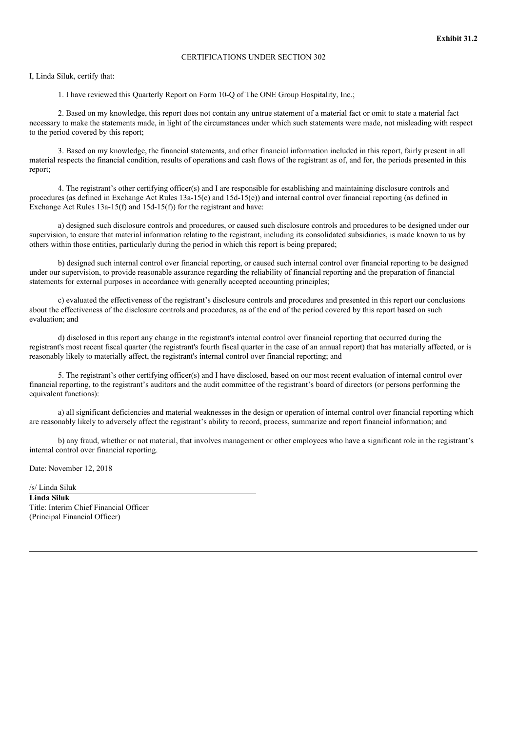I, Linda Siluk, certify that:

1. I have reviewed this Quarterly Report on Form 10-Q of The ONE Group Hospitality, Inc.;

2. Based on my knowledge, this report does not contain any untrue statement of a material fact or omit to state a material fact necessary to make the statements made, in light of the circumstances under which such statements were made, not misleading with respect to the period covered by this report;

3. Based on my knowledge, the financial statements, and other financial information included in this report, fairly present in all material respects the financial condition, results of operations and cash flows of the registrant as of, and for, the periods presented in this report;

4. The registrant's other certifying officer(s) and I are responsible for establishing and maintaining disclosure controls and procedures (as defined in Exchange Act Rules 13a-15(e) and 15d-15(e)) and internal control over financial reporting (as defined in Exchange Act Rules 13a-15(f) and 15d-15(f)) for the registrant and have:

a) designed such disclosure controls and procedures, or caused such disclosure controls and procedures to be designed under our supervision, to ensure that material information relating to the registrant, including its consolidated subsidiaries, is made known to us by others within those entities, particularly during the period in which this report is being prepared;

b) designed such internal control over financial reporting, or caused such internal control over financial reporting to be designed under our supervision, to provide reasonable assurance regarding the reliability of financial reporting and the preparation of financial statements for external purposes in accordance with generally accepted accounting principles;

c) evaluated the effectiveness of the registrant's disclosure controls and procedures and presented in this report our conclusions about the effectiveness of the disclosure controls and procedures, as of the end of the period covered by this report based on such evaluation; and

d) disclosed in this report any change in the registrant's internal control over financial reporting that occurred during the registrant's most recent fiscal quarter (the registrant's fourth fiscal quarter in the case of an annual report) that has materially affected, or is reasonably likely to materially affect, the registrant's internal control over financial reporting; and

5. The registrant's other certifying officer(s) and I have disclosed, based on our most recent evaluation of internal control over financial reporting, to the registrant's auditors and the audit committee of the registrant's board of directors (or persons performing the equivalent functions):

a) all significant deficiencies and material weaknesses in the design or operation of internal control over financial reporting which are reasonably likely to adversely affect the registrant's ability to record, process, summarize and report financial information; and

b) any fraud, whether or not material, that involves management or other employees who have a significant role in the registrant's internal control over financial reporting.

Date: November 12, 2018

/s/ Linda Siluk **Linda Siluk** Title: Interim Chief Financial Officer (Principal Financial Officer)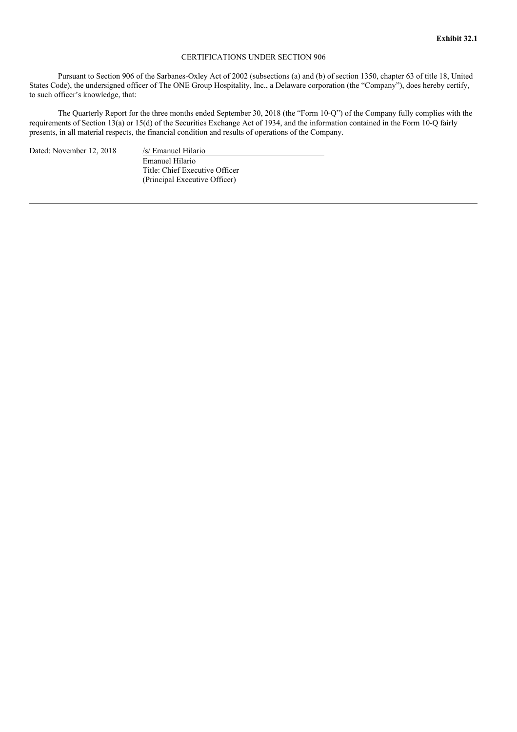Pursuant to Section 906 of the Sarbanes-Oxley Act of 2002 (subsections (a) and (b) of section 1350, chapter 63 of title 18, United States Code), the undersigned officer of The ONE Group Hospitality, Inc., a Delaware corporation (the "Company"), does hereby certify, to such officer's knowledge, that:

The Quarterly Report for the three months ended September 30, 2018 (the "Form 10-Q") of the Company fully complies with the requirements of Section 13(a) or 15(d) of the Securities Exchange Act of 1934, and the information contained in the Form 10-Q fairly presents, in all material respects, the financial condition and results of operations of the Company.

Dated: November 12, 2018 /s/ Emanuel Hilario

Emanuel Hilario Title: Chief Executive Officer (Principal Executive Officer)